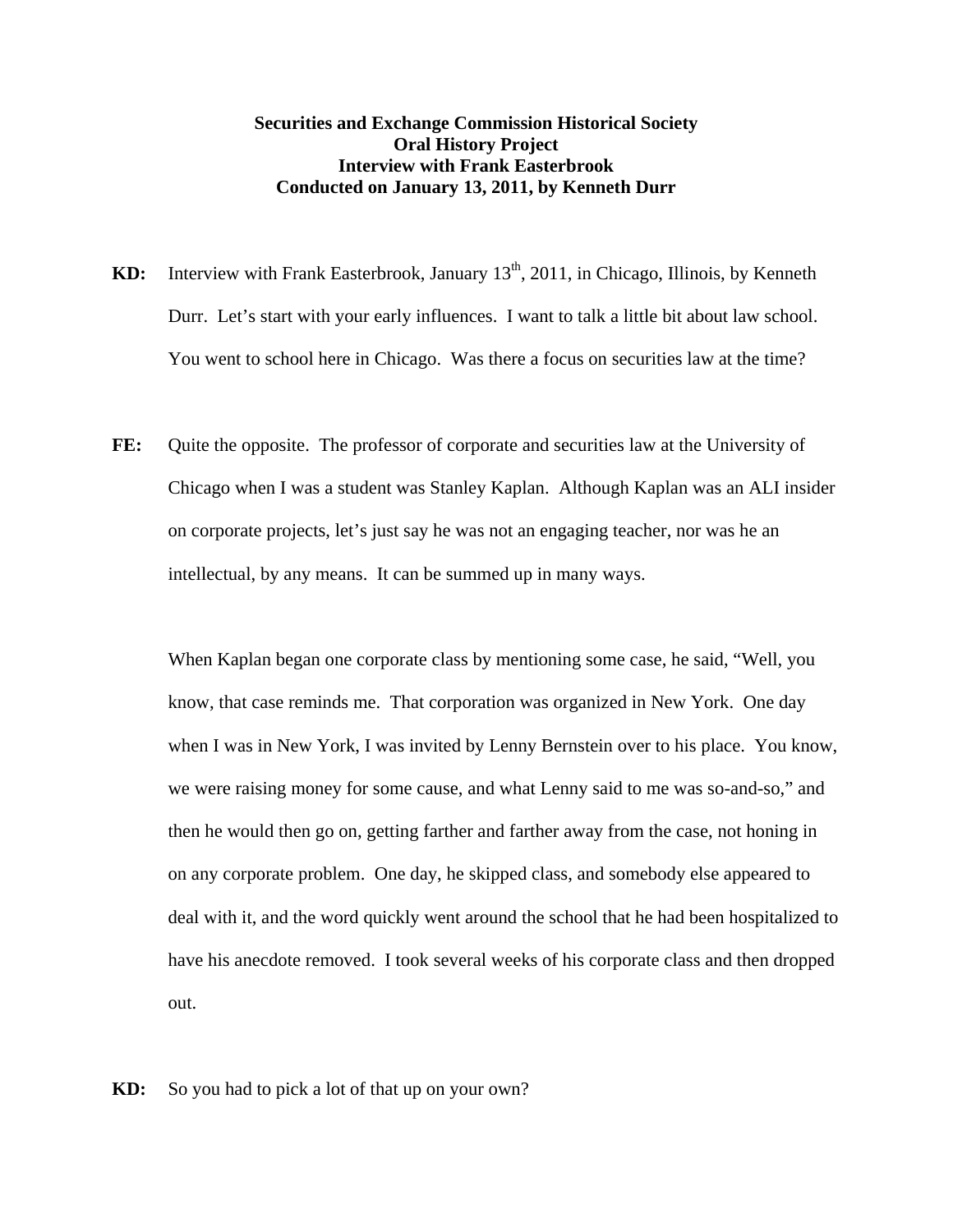## **Securities and Exchange Commission Historical Society Oral History Project Interview with Frank Easterbrook Conducted on January 13, 2011, by Kenneth Durr**

- **KD:** Interview with Frank Easterbrook, January 13<sup>th</sup>, 2011, in Chicago, Illinois, by Kenneth Durr. Let's start with your early influences. I want to talk a little bit about law school. You went to school here in Chicago. Was there a focus on securities law at the time?
- **FE:** Quite the opposite. The professor of corporate and securities law at the University of Chicago when I was a student was Stanley Kaplan. Although Kaplan was an ALI insider on corporate projects, let's just say he was not an engaging teacher, nor was he an intellectual, by any means. It can be summed up in many ways.

When Kaplan began one corporate class by mentioning some case, he said, "Well, you know, that case reminds me. That corporation was organized in New York. One day when I was in New York, I was invited by Lenny Bernstein over to his place. You know, we were raising money for some cause, and what Lenny said to me was so-and-so," and then he would then go on, getting farther and farther away from the case, not honing in on any corporate problem. One day, he skipped class, and somebody else appeared to deal with it, and the word quickly went around the school that he had been hospitalized to have his anecdote removed. I took several weeks of his corporate class and then dropped out.

**KD:** So you had to pick a lot of that up on your own?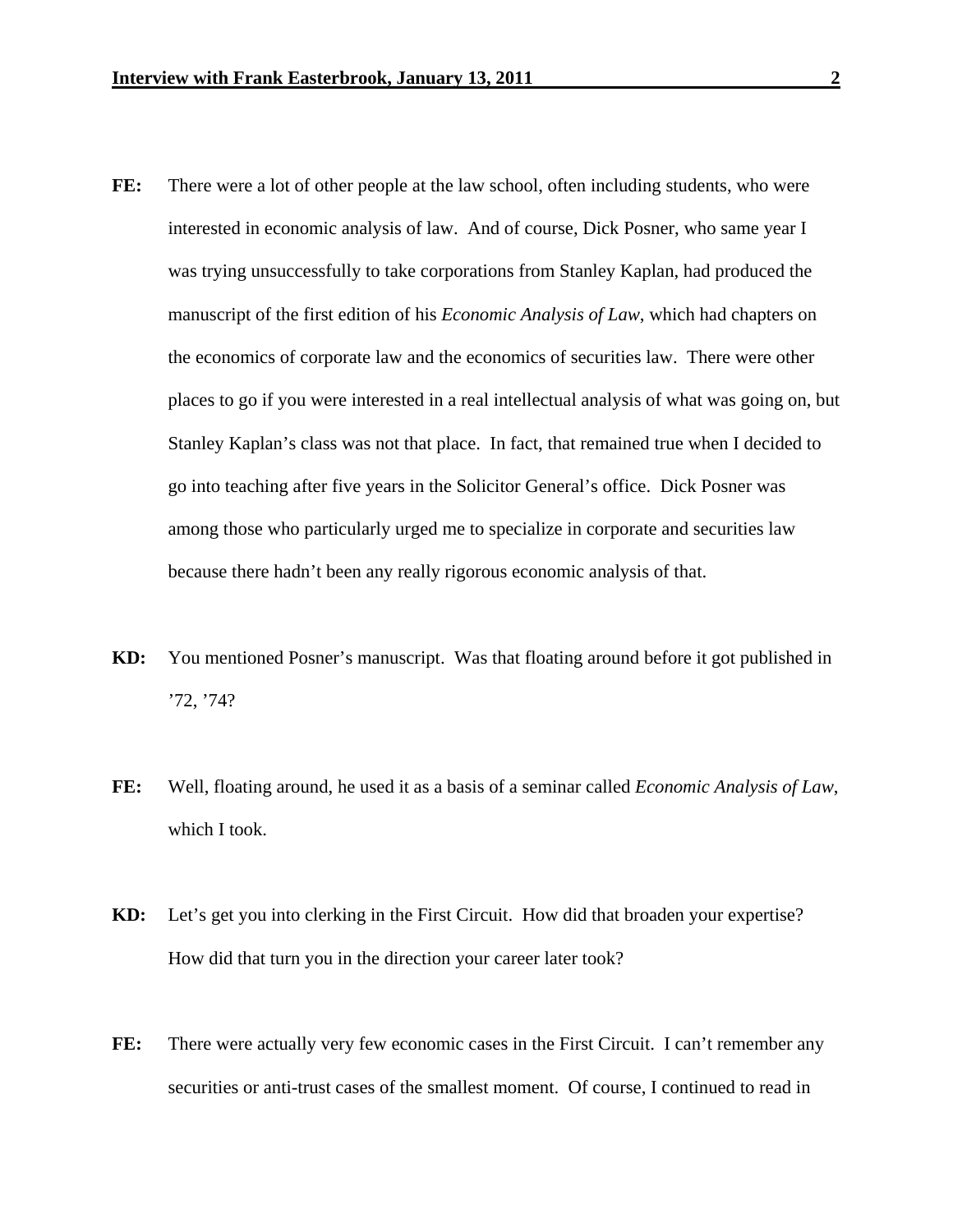- **FE:** There were a lot of other people at the law school, often including students, who were interested in economic analysis of law. And of course, Dick Posner, who same year I was trying unsuccessfully to take corporations from Stanley Kaplan, had produced the manuscript of the first edition of his *Economic Analysis of Law*, which had chapters on the economics of corporate law and the economics of securities law. There were other places to go if you were interested in a real intellectual analysis of what was going on, but Stanley Kaplan's class was not that place. In fact, that remained true when I decided to go into teaching after five years in the Solicitor General's office. Dick Posner was among those who particularly urged me to specialize in corporate and securities law because there hadn't been any really rigorous economic analysis of that.
- **KD:** You mentioned Posner's manuscript. Was that floating around before it got published in '72, '74?
- **FE:** Well, floating around, he used it as a basis of a seminar called *Economic Analysis of Law*, which I took.
- **KD:** Let's get you into clerking in the First Circuit. How did that broaden your expertise? How did that turn you in the direction your career later took?
- **FE:** There were actually very few economic cases in the First Circuit. I can't remember any securities or anti-trust cases of the smallest moment. Of course, I continued to read in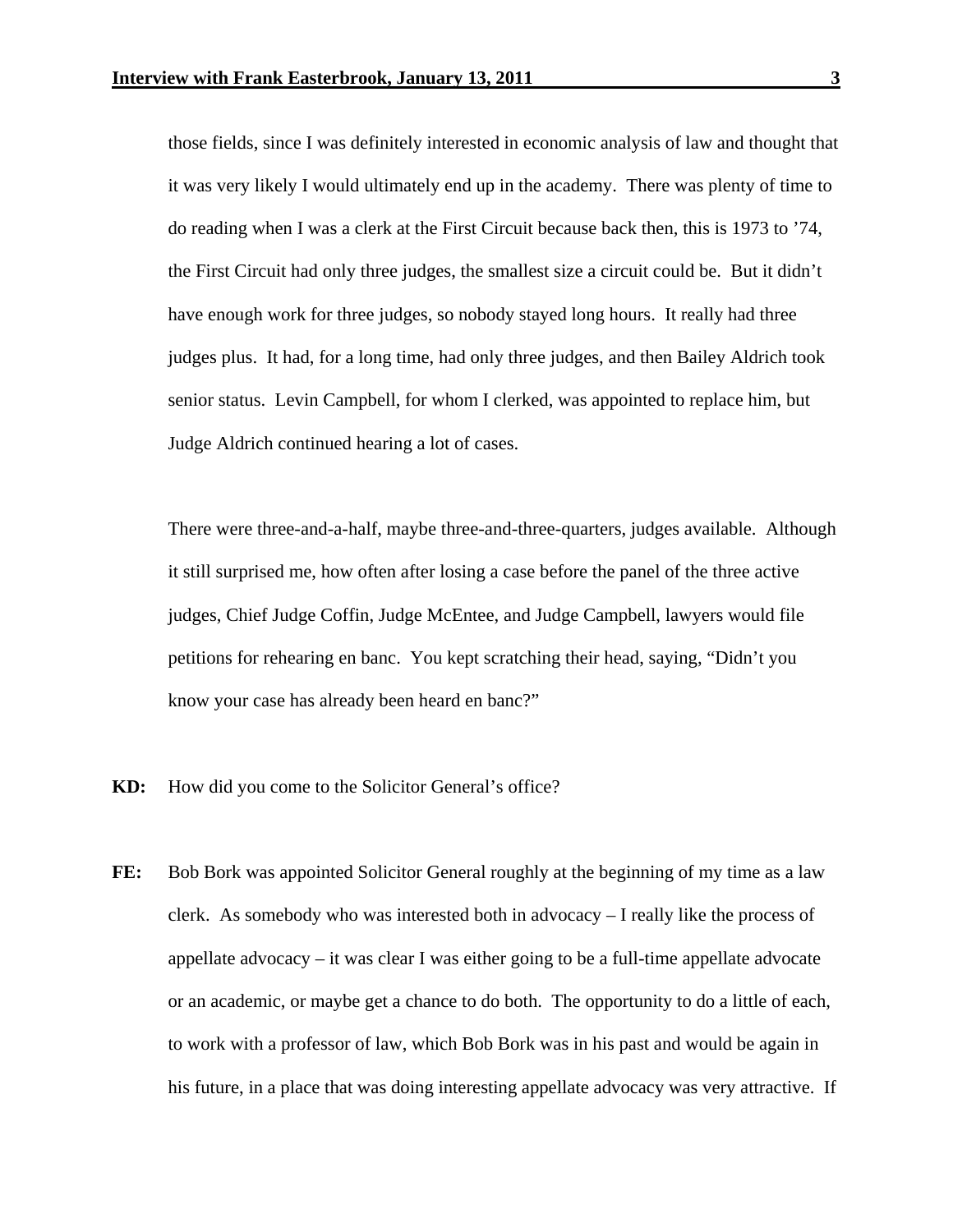those fields, since I was definitely interested in economic analysis of law and thought that it was very likely I would ultimately end up in the academy. There was plenty of time to do reading when I was a clerk at the First Circuit because back then, this is 1973 to '74, the First Circuit had only three judges, the smallest size a circuit could be. But it didn't have enough work for three judges, so nobody stayed long hours. It really had three judges plus. It had, for a long time, had only three judges, and then Bailey Aldrich took senior status. Levin Campbell, for whom I clerked, was appointed to replace him, but Judge Aldrich continued hearing a lot of cases.

 There were three-and-a-half, maybe three-and-three-quarters, judges available. Although it still surprised me, how often after losing a case before the panel of the three active judges, Chief Judge Coffin, Judge McEntee, and Judge Campbell, lawyers would file petitions for rehearing en banc. You kept scratching their head, saying, "Didn't you know your case has already been heard en banc?"

- **KD:** How did you come to the Solicitor General's office?
- FE: Bob Bork was appointed Solicitor General roughly at the beginning of my time as a law clerk. As somebody who was interested both in advocacy – I really like the process of appellate advocacy – it was clear I was either going to be a full-time appellate advocate or an academic, or maybe get a chance to do both. The opportunity to do a little of each, to work with a professor of law, which Bob Bork was in his past and would be again in his future, in a place that was doing interesting appellate advocacy was very attractive. If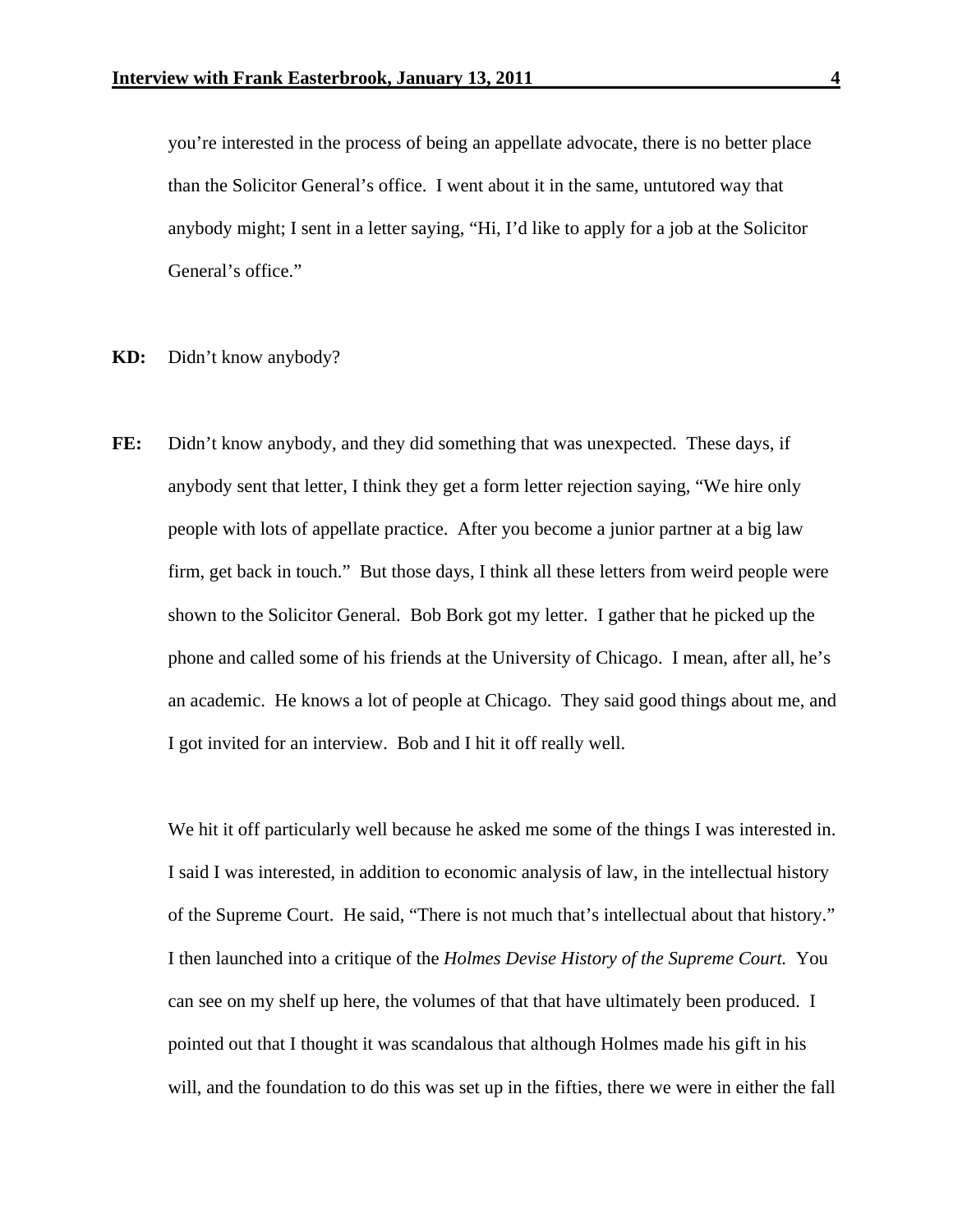you're interested in the process of being an appellate advocate, there is no better place than the Solicitor General's office. I went about it in the same, untutored way that anybody might; I sent in a letter saying, "Hi, I'd like to apply for a job at the Solicitor General's office."

- **KD:** Didn't know anybody?
- **FE:** Didn't know anybody, and they did something that was unexpected. These days, if anybody sent that letter, I think they get a form letter rejection saying, "We hire only people with lots of appellate practice. After you become a junior partner at a big law firm, get back in touch." But those days, I think all these letters from weird people were shown to the Solicitor General. Bob Bork got my letter. I gather that he picked up the phone and called some of his friends at the University of Chicago. I mean, after all, he's an academic. He knows a lot of people at Chicago. They said good things about me, and I got invited for an interview. Bob and I hit it off really well.

We hit it off particularly well because he asked me some of the things I was interested in. I said I was interested, in addition to economic analysis of law, in the intellectual history of the Supreme Court. He said, "There is not much that's intellectual about that history." I then launched into a critique of the *Holmes Devise History of the Supreme Court.* You can see on my shelf up here, the volumes of that that have ultimately been produced. I pointed out that I thought it was scandalous that although Holmes made his gift in his will, and the foundation to do this was set up in the fifties, there we were in either the fall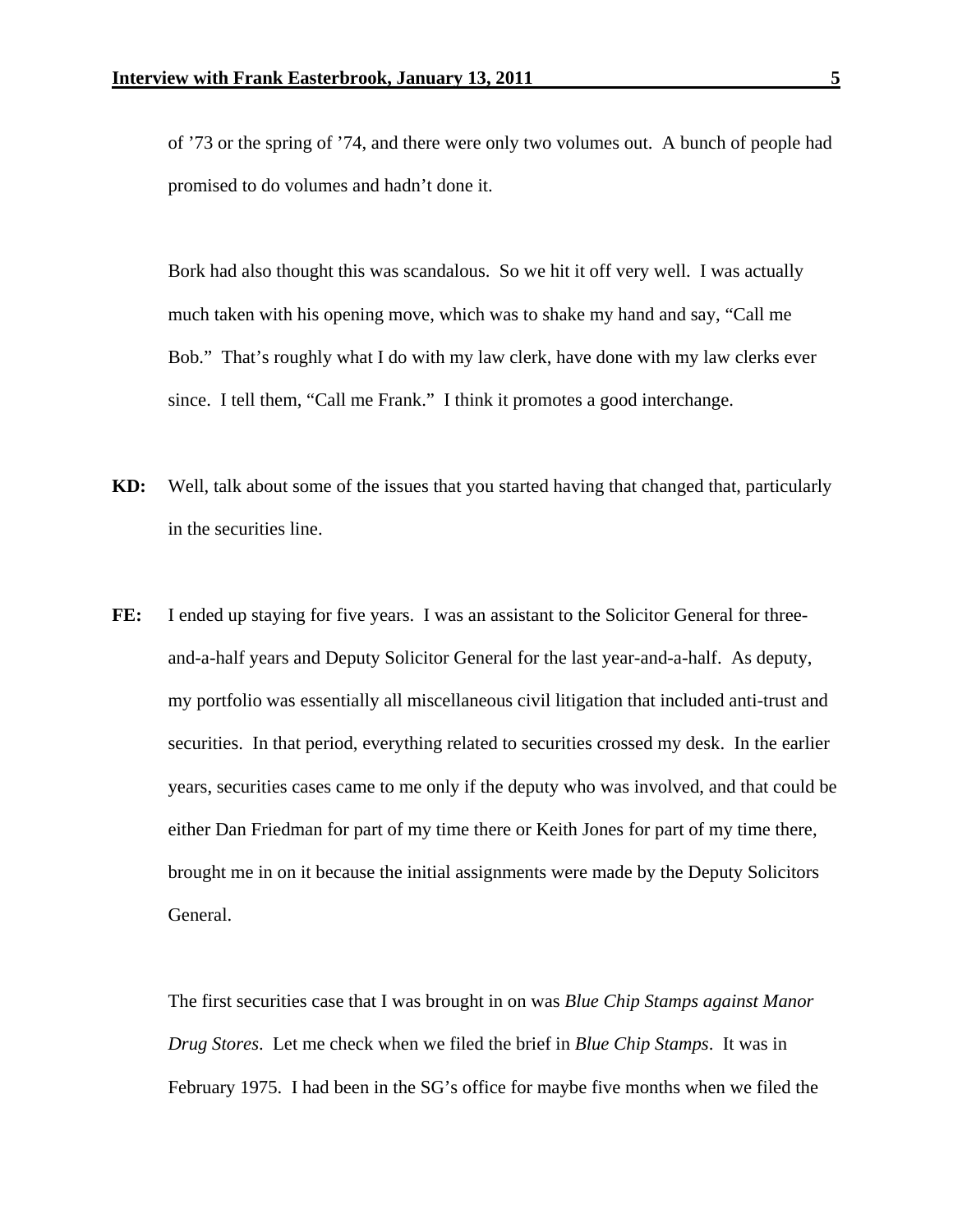of '73 or the spring of '74, and there were only two volumes out. A bunch of people had promised to do volumes and hadn't done it.

Bork had also thought this was scandalous. So we hit it off very well. I was actually much taken with his opening move, which was to shake my hand and say, "Call me Bob." That's roughly what I do with my law clerk, have done with my law clerks ever since. I tell them, "Call me Frank." I think it promotes a good interchange.

- **KD:** Well, talk about some of the issues that you started having that changed that, particularly in the securities line.
- FE: I ended up staying for five years. I was an assistant to the Solicitor General for threeand-a-half years and Deputy Solicitor General for the last year-and-a-half. As deputy, my portfolio was essentially all miscellaneous civil litigation that included anti-trust and securities. In that period, everything related to securities crossed my desk. In the earlier years, securities cases came to me only if the deputy who was involved, and that could be either Dan Friedman for part of my time there or Keith Jones for part of my time there, brought me in on it because the initial assignments were made by the Deputy Solicitors General.

 The first securities case that I was brought in on was *Blue Chip Stamps against Manor Drug Stores*. Let me check when we filed the brief in *Blue Chip Stamps*. It was in February 1975. I had been in the SG's office for maybe five months when we filed the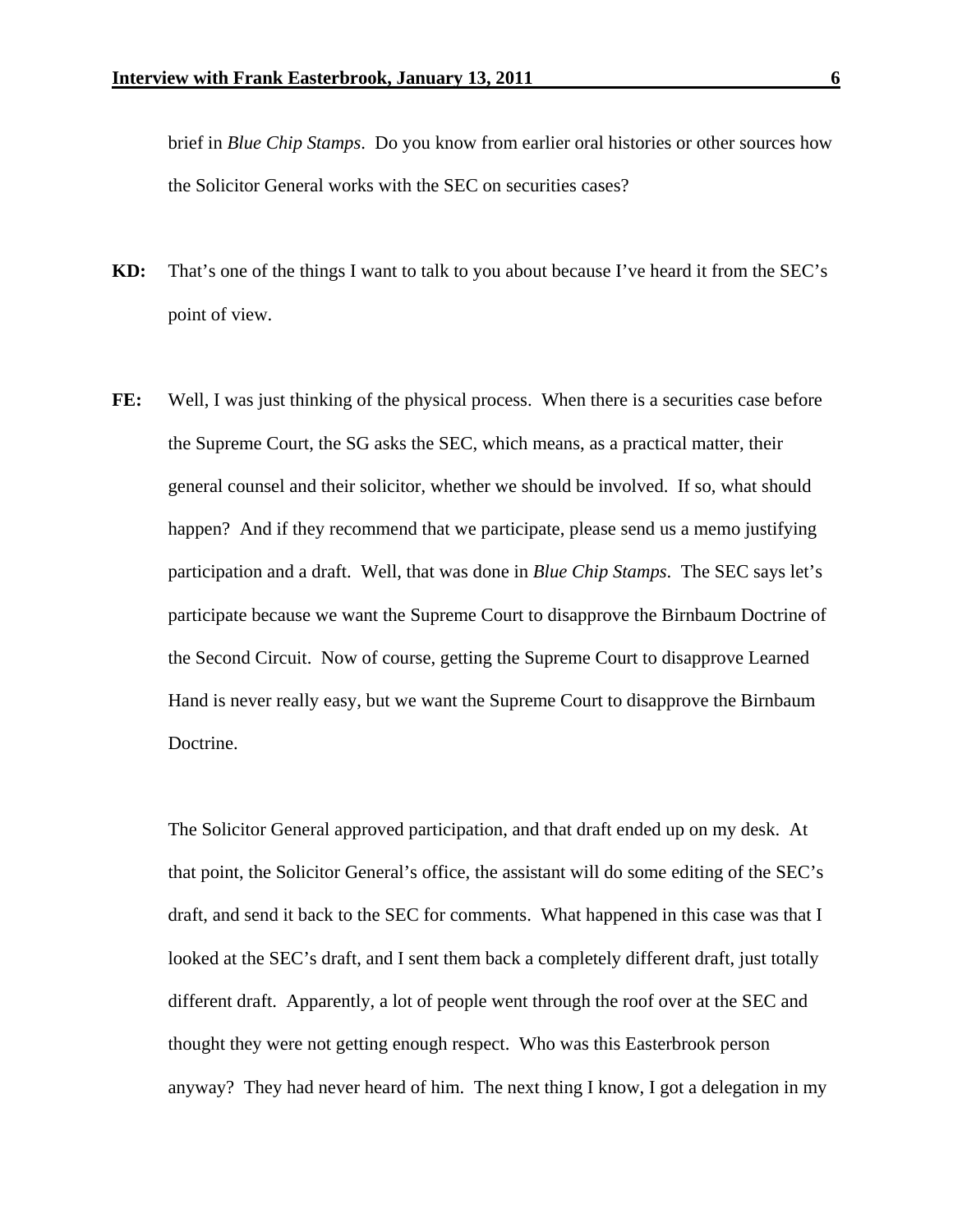brief in *Blue Chip Stamps*. Do you know from earlier oral histories or other sources how the Solicitor General works with the SEC on securities cases?

- **KD:** That's one of the things I want to talk to you about because I've heard it from the SEC's point of view.
- FE: Well, I was just thinking of the physical process. When there is a securities case before the Supreme Court, the SG asks the SEC, which means, as a practical matter, their general counsel and their solicitor, whether we should be involved. If so, what should happen? And if they recommend that we participate, please send us a memo justifying participation and a draft. Well, that was done in *Blue Chip Stamps*. The SEC says let's participate because we want the Supreme Court to disapprove the Birnbaum Doctrine of the Second Circuit. Now of course, getting the Supreme Court to disapprove Learned Hand is never really easy, but we want the Supreme Court to disapprove the Birnbaum Doctrine.

 The Solicitor General approved participation, and that draft ended up on my desk. At that point, the Solicitor General's office, the assistant will do some editing of the SEC's draft, and send it back to the SEC for comments. What happened in this case was that I looked at the SEC's draft, and I sent them back a completely different draft, just totally different draft. Apparently, a lot of people went through the roof over at the SEC and thought they were not getting enough respect. Who was this Easterbrook person anyway? They had never heard of him. The next thing I know, I got a delegation in my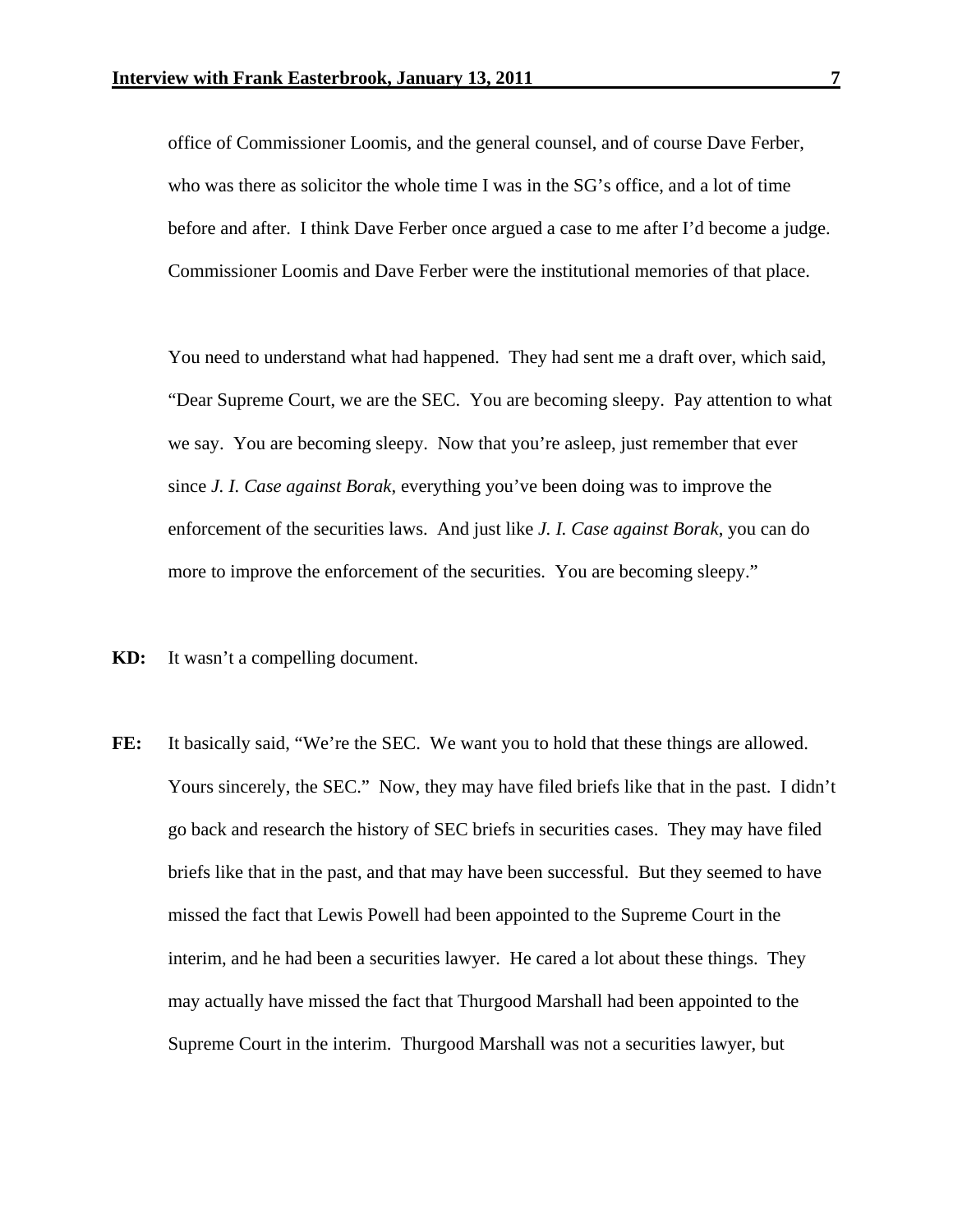office of Commissioner Loomis, and the general counsel, and of course Dave Ferber, who was there as solicitor the whole time I was in the SG's office, and a lot of time before and after. I think Dave Ferber once argued a case to me after I'd become a judge. Commissioner Loomis and Dave Ferber were the institutional memories of that place.

 You need to understand what had happened. They had sent me a draft over, which said, "Dear Supreme Court, we are the SEC. You are becoming sleepy. Pay attention to what we say. You are becoming sleepy. Now that you're asleep, just remember that ever since *J. I. Case against Borak*, everything you've been doing was to improve the enforcement of the securities laws. And just like *J. I. Case against Borak*, you can do more to improve the enforcement of the securities. You are becoming sleepy."

- **KD:** It wasn't a compelling document.
- FE: It basically said, "We're the SEC. We want you to hold that these things are allowed. Yours sincerely, the SEC." Now, they may have filed briefs like that in the past. I didn't go back and research the history of SEC briefs in securities cases. They may have filed briefs like that in the past, and that may have been successful. But they seemed to have missed the fact that Lewis Powell had been appointed to the Supreme Court in the interim, and he had been a securities lawyer. He cared a lot about these things. They may actually have missed the fact that Thurgood Marshall had been appointed to the Supreme Court in the interim. Thurgood Marshall was not a securities lawyer, but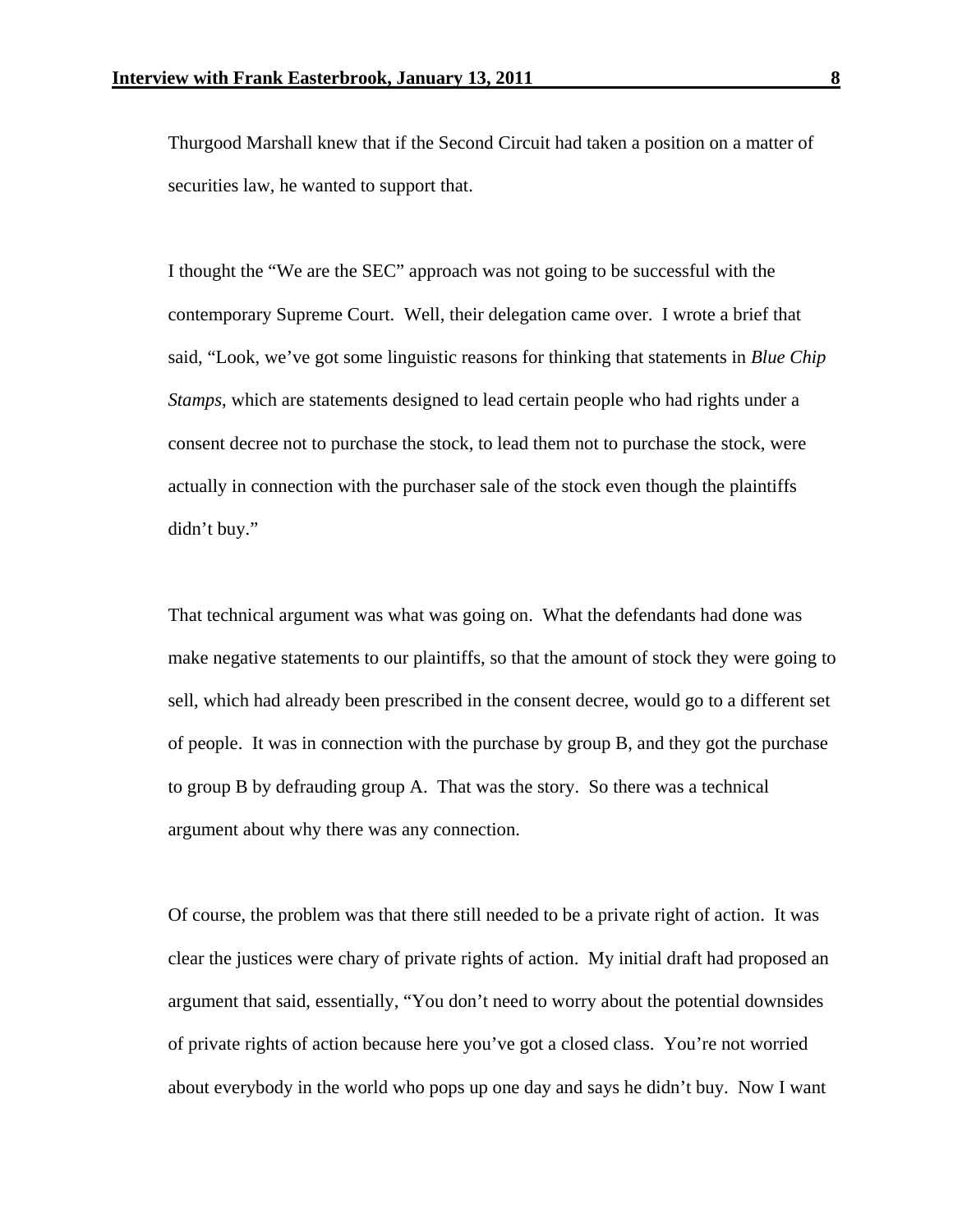Thurgood Marshall knew that if the Second Circuit had taken a position on a matter of securities law, he wanted to support that.

 I thought the "We are the SEC" approach was not going to be successful with the contemporary Supreme Court. Well, their delegation came over. I wrote a brief that said, "Look, we've got some linguistic reasons for thinking that statements in *Blue Chip Stamps*, which are statements designed to lead certain people who had rights under a consent decree not to purchase the stock, to lead them not to purchase the stock, were actually in connection with the purchaser sale of the stock even though the plaintiffs didn't buy."

That technical argument was what was going on. What the defendants had done was make negative statements to our plaintiffs, so that the amount of stock they were going to sell, which had already been prescribed in the consent decree, would go to a different set of people. It was in connection with the purchase by group B, and they got the purchase to group B by defrauding group A. That was the story. So there was a technical argument about why there was any connection.

 Of course, the problem was that there still needed to be a private right of action. It was clear the justices were chary of private rights of action. My initial draft had proposed an argument that said, essentially, "You don't need to worry about the potential downsides of private rights of action because here you've got a closed class. You're not worried about everybody in the world who pops up one day and says he didn't buy. Now I want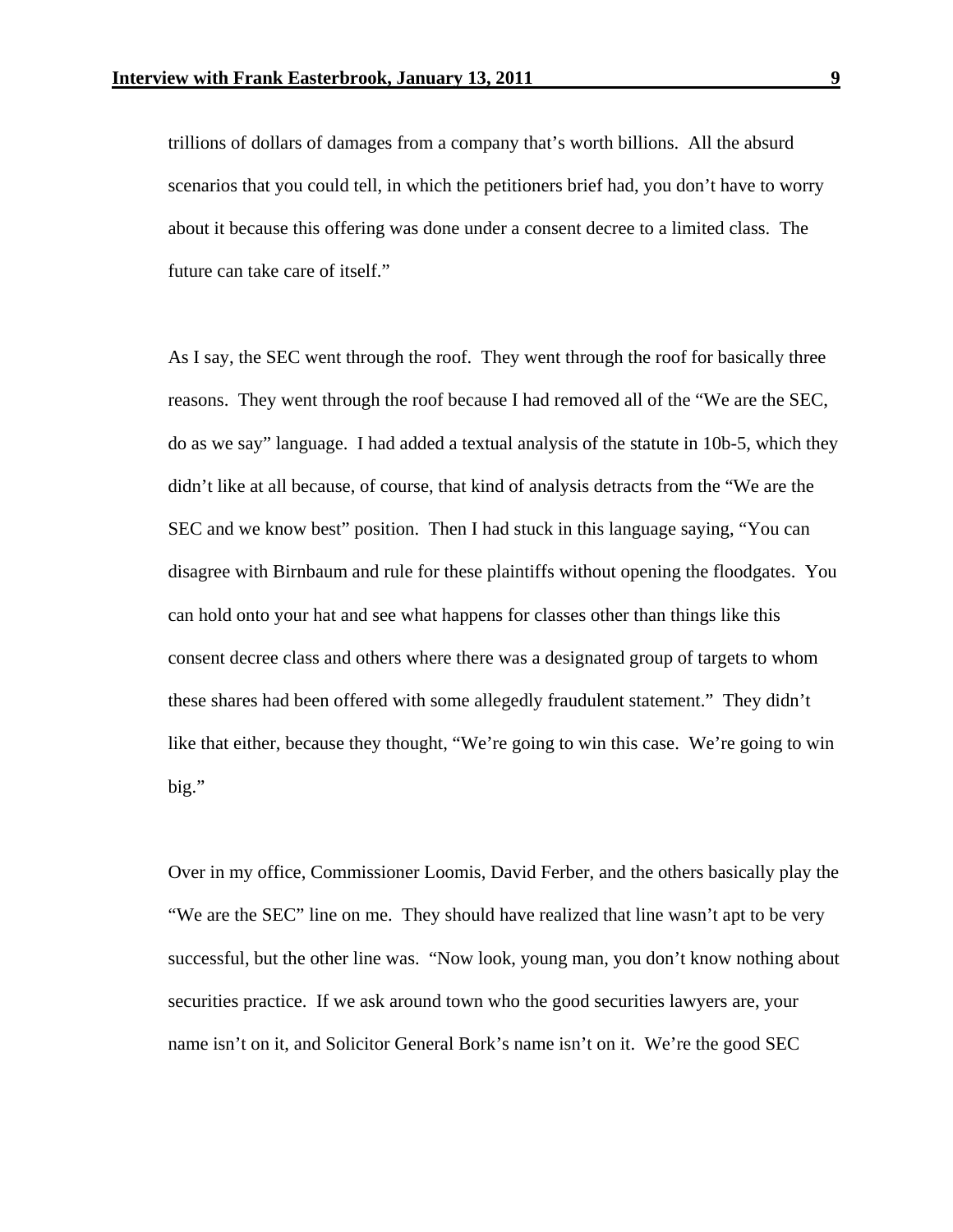trillions of dollars of damages from a company that's worth billions. All the absurd scenarios that you could tell, in which the petitioners brief had, you don't have to worry about it because this offering was done under a consent decree to a limited class. The future can take care of itself."

 As I say, the SEC went through the roof. They went through the roof for basically three reasons. They went through the roof because I had removed all of the "We are the SEC, do as we say" language. I had added a textual analysis of the statute in 10b-5, which they didn't like at all because, of course, that kind of analysis detracts from the "We are the SEC and we know best" position. Then I had stuck in this language saying, "You can disagree with Birnbaum and rule for these plaintiffs without opening the floodgates. You can hold onto your hat and see what happens for classes other than things like this consent decree class and others where there was a designated group of targets to whom these shares had been offered with some allegedly fraudulent statement." They didn't like that either, because they thought, "We're going to win this case. We're going to win big."

 Over in my office, Commissioner Loomis, David Ferber, and the others basically play the "We are the SEC" line on me. They should have realized that line wasn't apt to be very successful, but the other line was. "Now look, young man, you don't know nothing about securities practice. If we ask around town who the good securities lawyers are, your name isn't on it, and Solicitor General Bork's name isn't on it. We're the good SEC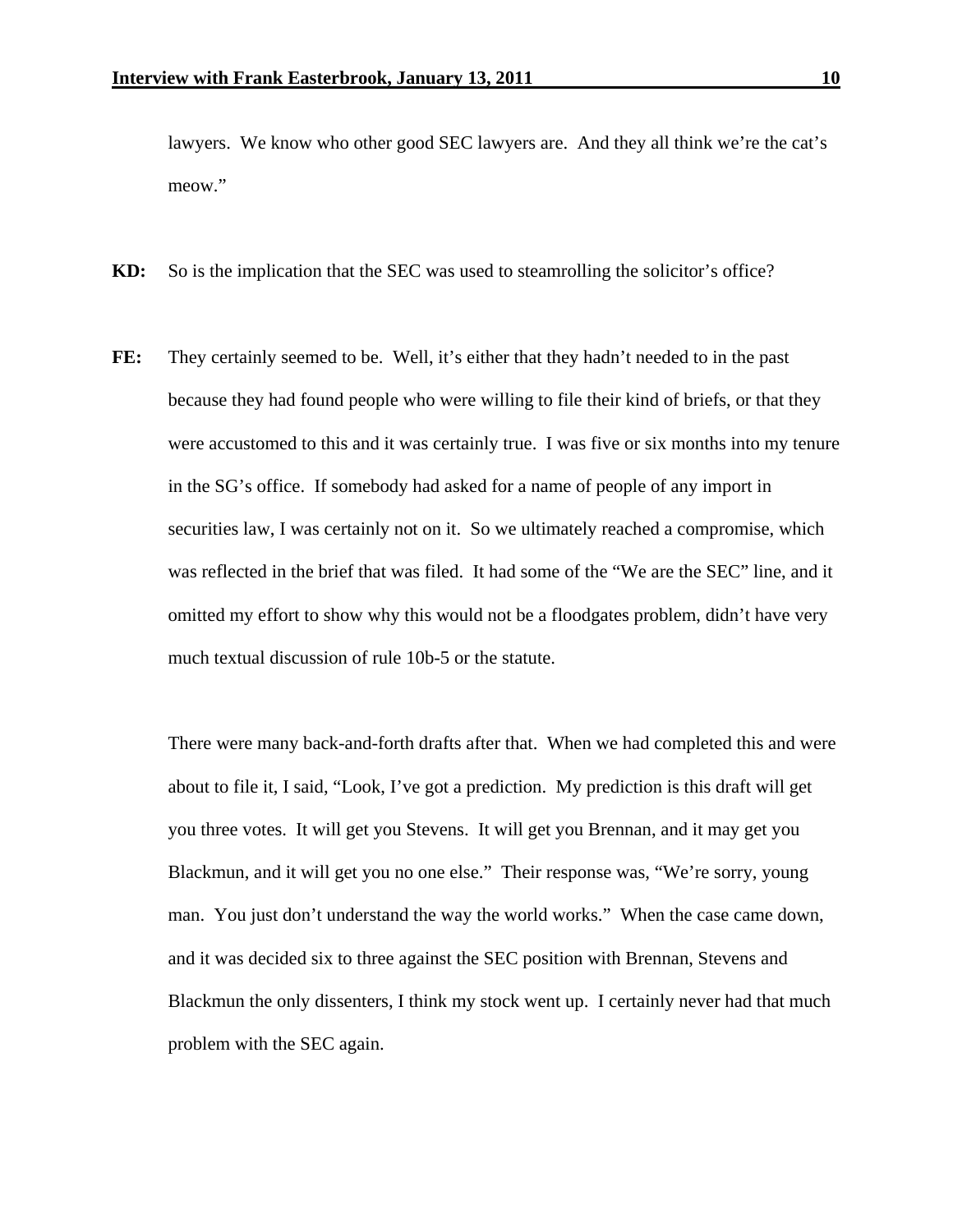lawyers. We know who other good SEC lawyers are. And they all think we're the cat's meow."

- **KD:** So is the implication that the SEC was used to steamrolling the solicitor's office?
- **FE:** They certainly seemed to be. Well, it's either that they hadn't needed to in the past because they had found people who were willing to file their kind of briefs, or that they were accustomed to this and it was certainly true. I was five or six months into my tenure in the SG's office. If somebody had asked for a name of people of any import in securities law, I was certainly not on it. So we ultimately reached a compromise, which was reflected in the brief that was filed. It had some of the "We are the SEC" line, and it omitted my effort to show why this would not be a floodgates problem, didn't have very much textual discussion of rule 10b-5 or the statute.

 There were many back-and-forth drafts after that. When we had completed this and were about to file it, I said, "Look, I've got a prediction. My prediction is this draft will get you three votes. It will get you Stevens. It will get you Brennan, and it may get you Blackmun, and it will get you no one else." Their response was, "We're sorry, young man. You just don't understand the way the world works." When the case came down, and it was decided six to three against the SEC position with Brennan, Stevens and Blackmun the only dissenters, I think my stock went up. I certainly never had that much problem with the SEC again.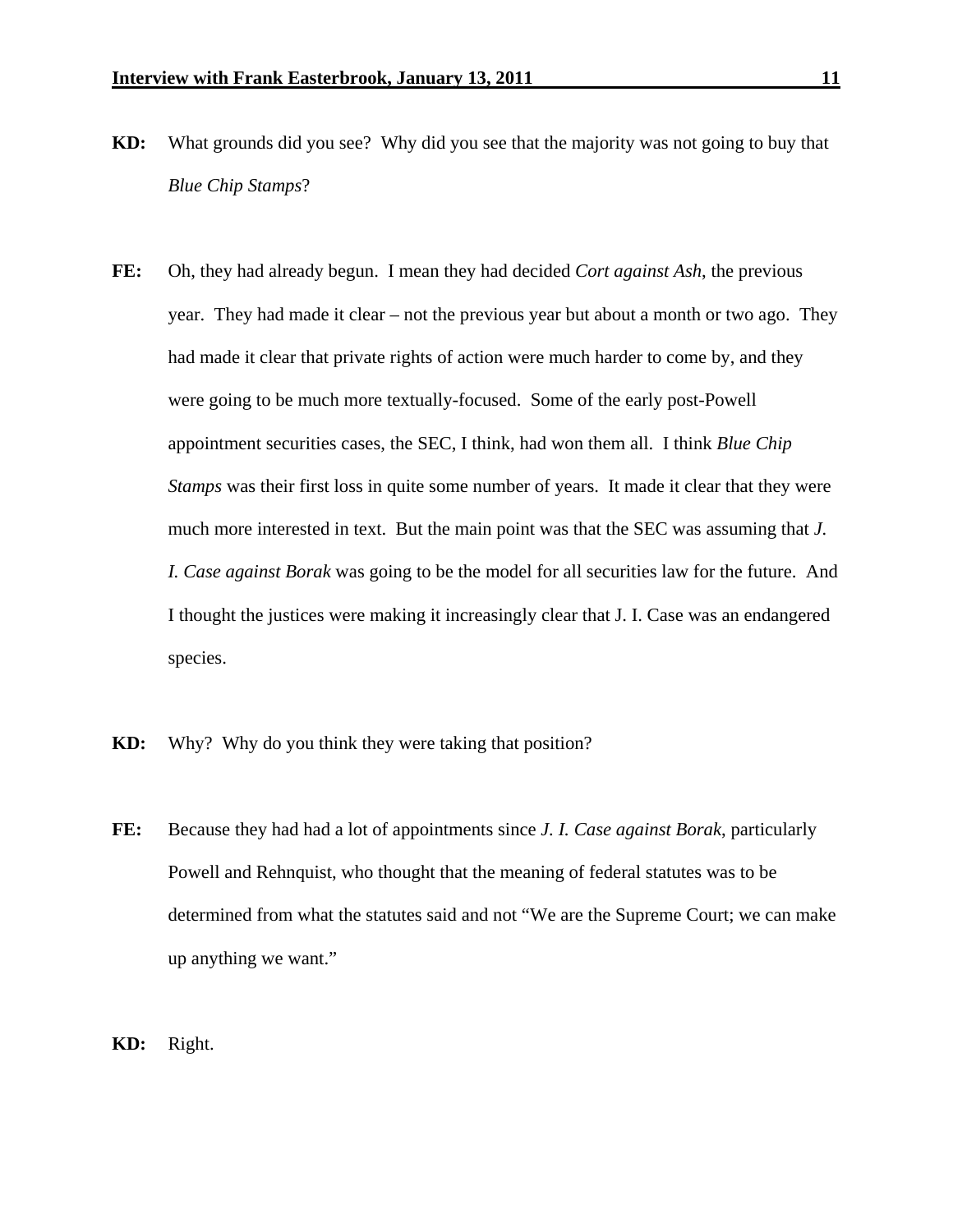- **KD:** What grounds did you see? Why did you see that the majority was not going to buy that *Blue Chip Stamps*?
- **FE:** Oh, they had already begun. I mean they had decided *Cort against Ash*, the previous year. They had made it clear – not the previous year but about a month or two ago. They had made it clear that private rights of action were much harder to come by, and they were going to be much more textually-focused. Some of the early post-Powell appointment securities cases, the SEC, I think, had won them all. I think *Blue Chip Stamps* was their first loss in quite some number of years. It made it clear that they were much more interested in text. But the main point was that the SEC was assuming that *J. I. Case against Borak* was going to be the model for all securities law for the future. And I thought the justices were making it increasingly clear that J. I. Case was an endangered species.
- **KD:** Why? Why do you think they were taking that position?
- **FE:** Because they had had a lot of appointments since *J. I. Case against Borak*, particularly Powell and Rehnquist, who thought that the meaning of federal statutes was to be determined from what the statutes said and not "We are the Supreme Court; we can make up anything we want."

**KD:** Right.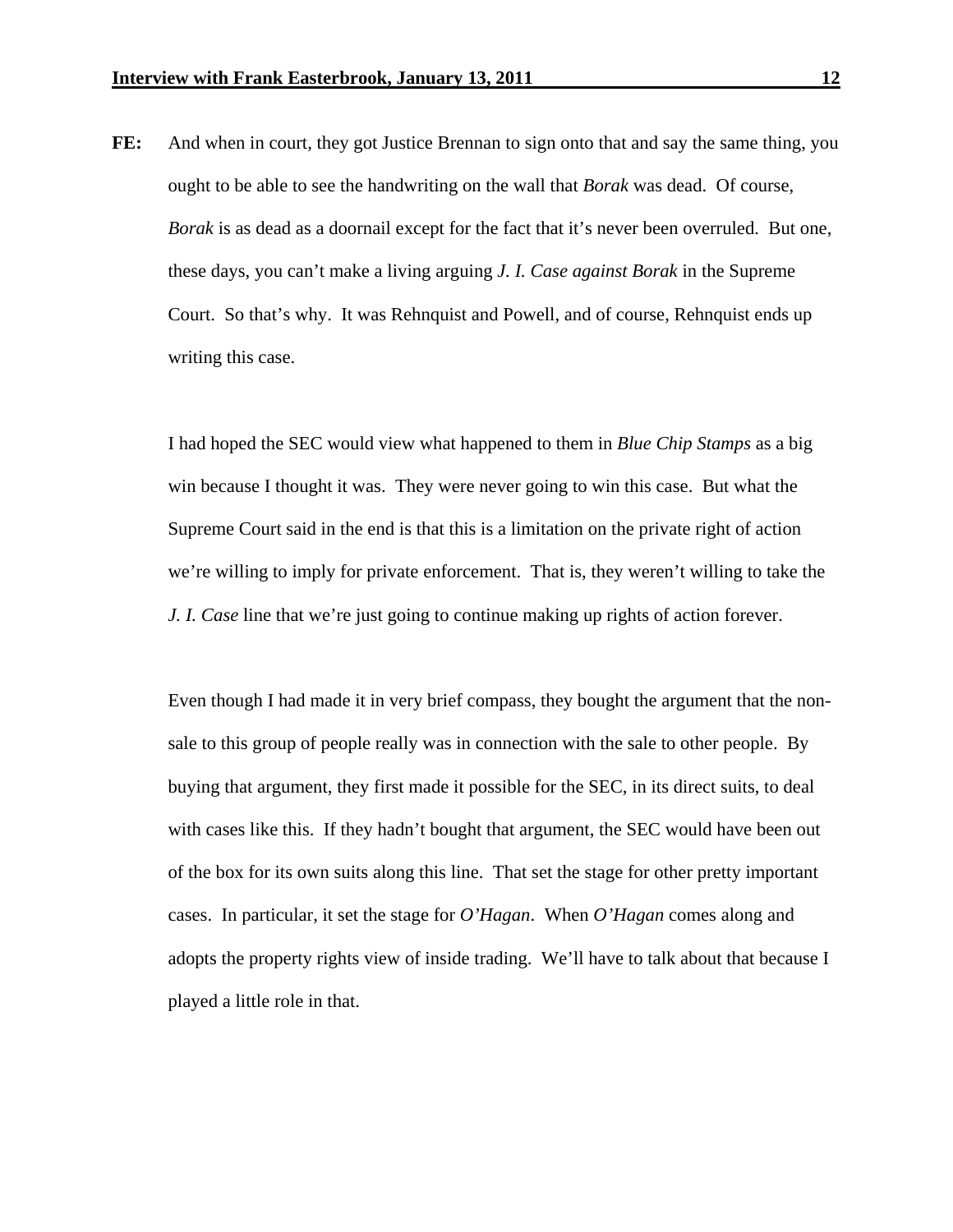**FE:** And when in court, they got Justice Brennan to sign onto that and say the same thing, you ought to be able to see the handwriting on the wall that *Borak* was dead. Of course, *Borak* is as dead as a doornail except for the fact that it's never been overruled. But one, these days, you can't make a living arguing *J. I. Case against Borak* in the Supreme Court. So that's why. It was Rehnquist and Powell, and of course, Rehnquist ends up writing this case.

 I had hoped the SEC would view what happened to them in *Blue Chip Stamps* as a big win because I thought it was. They were never going to win this case. But what the Supreme Court said in the end is that this is a limitation on the private right of action we're willing to imply for private enforcement. That is, they weren't willing to take the *J. I. Case* line that we're just going to continue making up rights of action forever.

 Even though I had made it in very brief compass, they bought the argument that the nonsale to this group of people really was in connection with the sale to other people. By buying that argument, they first made it possible for the SEC, in its direct suits, to deal with cases like this. If they hadn't bought that argument, the SEC would have been out of the box for its own suits along this line. That set the stage for other pretty important cases. In particular, it set the stage for *O'Hagan*. When *O'Hagan* comes along and adopts the property rights view of inside trading. We'll have to talk about that because I played a little role in that.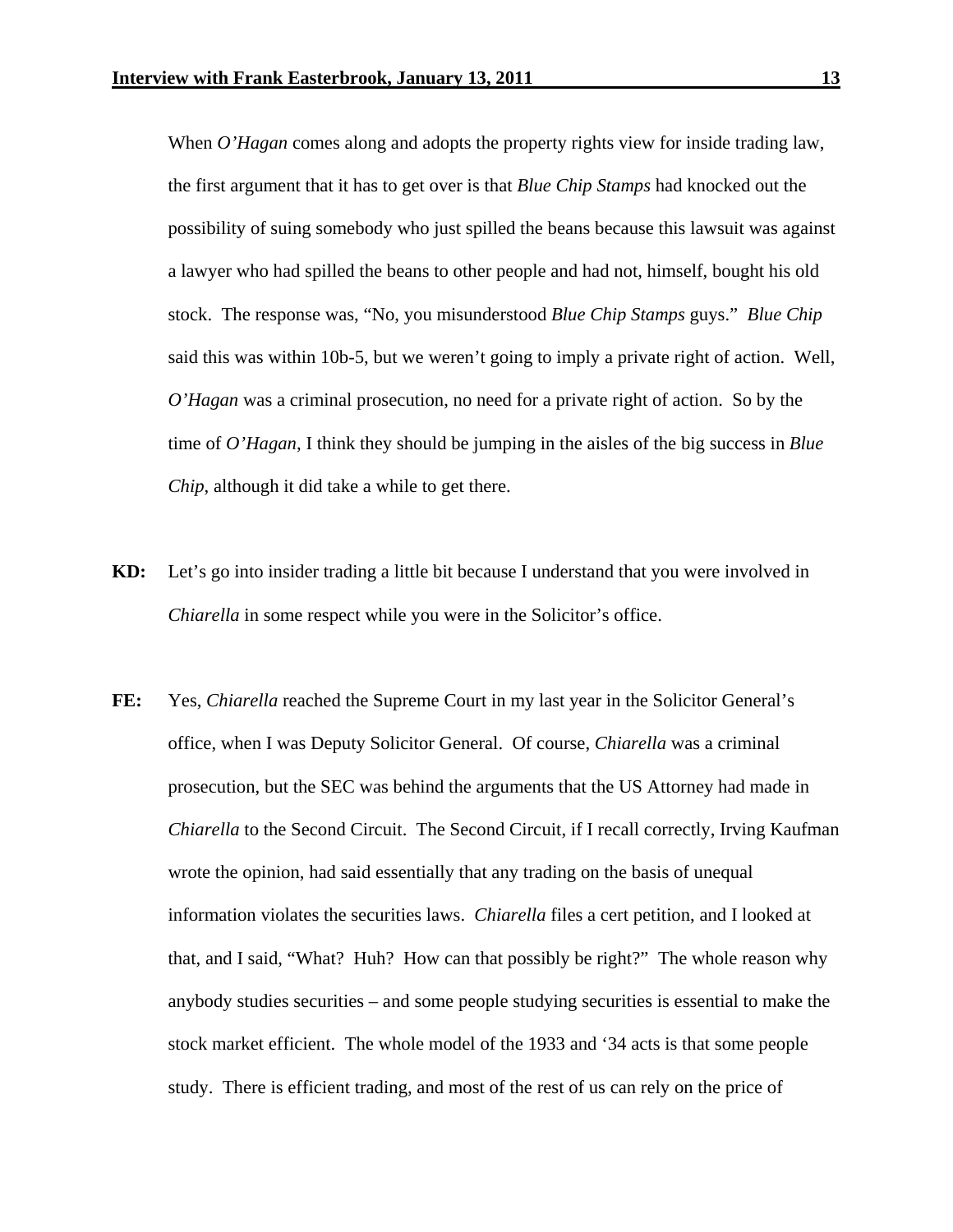When *O'Hagan* comes along and adopts the property rights view for inside trading law, the first argument that it has to get over is that *Blue Chip Stamps* had knocked out the possibility of suing somebody who just spilled the beans because this lawsuit was against a lawyer who had spilled the beans to other people and had not, himself, bought his old stock. The response was, "No, you misunderstood *Blue Chip Stamps* guys." *Blue Chip*  said this was within 10b-5, but we weren't going to imply a private right of action. Well, *O'Hagan* was a criminal prosecution, no need for a private right of action. So by the time of *O'Hagan*, I think they should be jumping in the aisles of the big success in *Blue Chip*, although it did take a while to get there.

- **KD:** Let's go into insider trading a little bit because I understand that you were involved in *Chiarella* in some respect while you were in the Solicitor's office.
- **FE:** Yes, *Chiarella* reached the Supreme Court in my last year in the Solicitor General's office, when I was Deputy Solicitor General. Of course, *Chiarella* was a criminal prosecution, but the SEC was behind the arguments that the US Attorney had made in *Chiarella* to the Second Circuit. The Second Circuit, if I recall correctly, Irving Kaufman wrote the opinion, had said essentially that any trading on the basis of unequal information violates the securities laws. *Chiarella* files a cert petition, and I looked at that, and I said, "What? Huh? How can that possibly be right?" The whole reason why anybody studies securities – and some people studying securities is essential to make the stock market efficient. The whole model of the 1933 and '34 acts is that some people study. There is efficient trading, and most of the rest of us can rely on the price of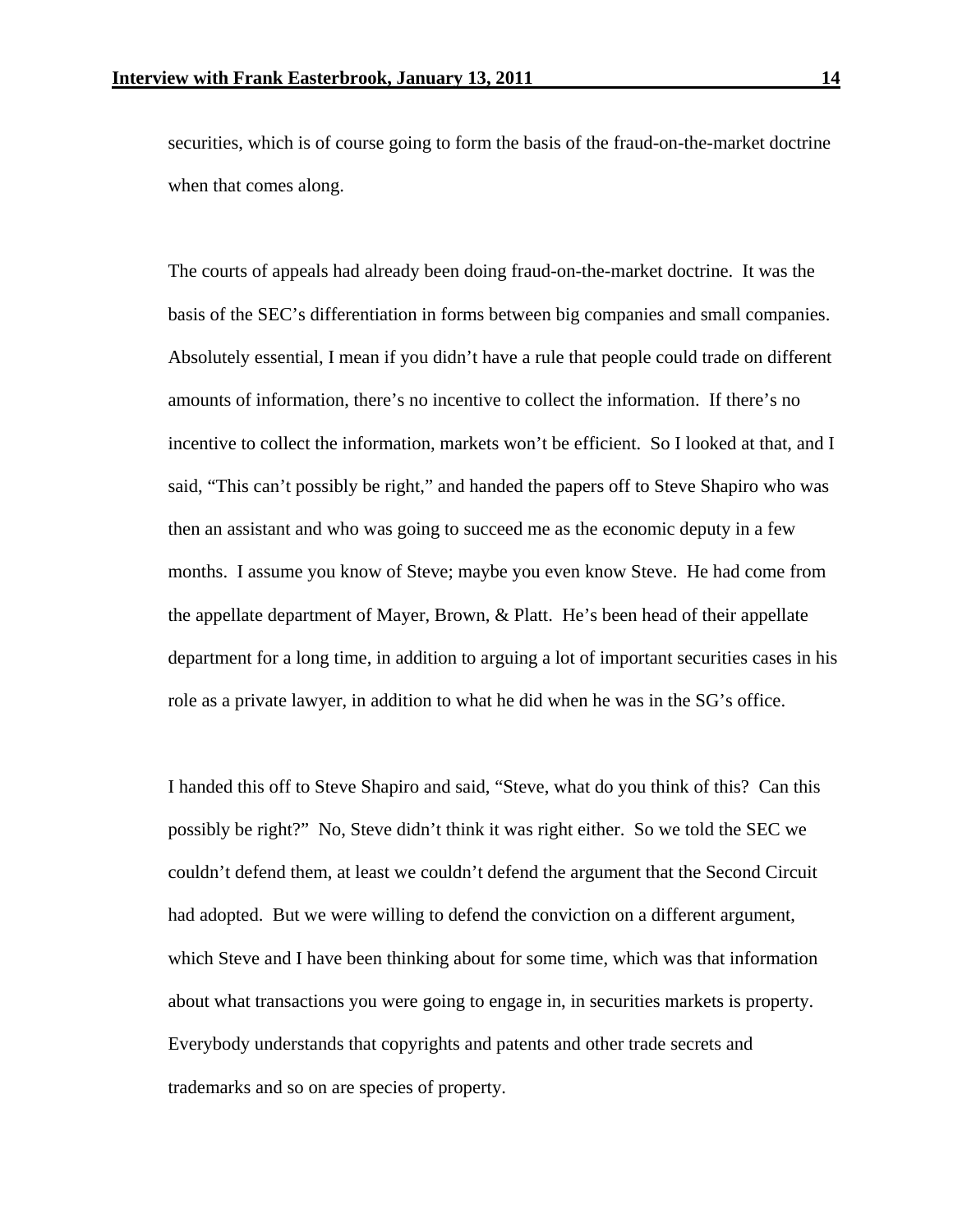securities, which is of course going to form the basis of the fraud-on-the-market doctrine when that comes along.

 The courts of appeals had already been doing fraud-on-the-market doctrine. It was the basis of the SEC's differentiation in forms between big companies and small companies. Absolutely essential, I mean if you didn't have a rule that people could trade on different amounts of information, there's no incentive to collect the information. If there's no incentive to collect the information, markets won't be efficient. So I looked at that, and I said, "This can't possibly be right," and handed the papers off to Steve Shapiro who was then an assistant and who was going to succeed me as the economic deputy in a few months. I assume you know of Steve; maybe you even know Steve. He had come from the appellate department of Mayer, Brown, & Platt. He's been head of their appellate department for a long time, in addition to arguing a lot of important securities cases in his role as a private lawyer, in addition to what he did when he was in the SG's office.

 I handed this off to Steve Shapiro and said, "Steve, what do you think of this? Can this possibly be right?" No, Steve didn't think it was right either. So we told the SEC we couldn't defend them, at least we couldn't defend the argument that the Second Circuit had adopted. But we were willing to defend the conviction on a different argument, which Steve and I have been thinking about for some time, which was that information about what transactions you were going to engage in, in securities markets is property. Everybody understands that copyrights and patents and other trade secrets and trademarks and so on are species of property.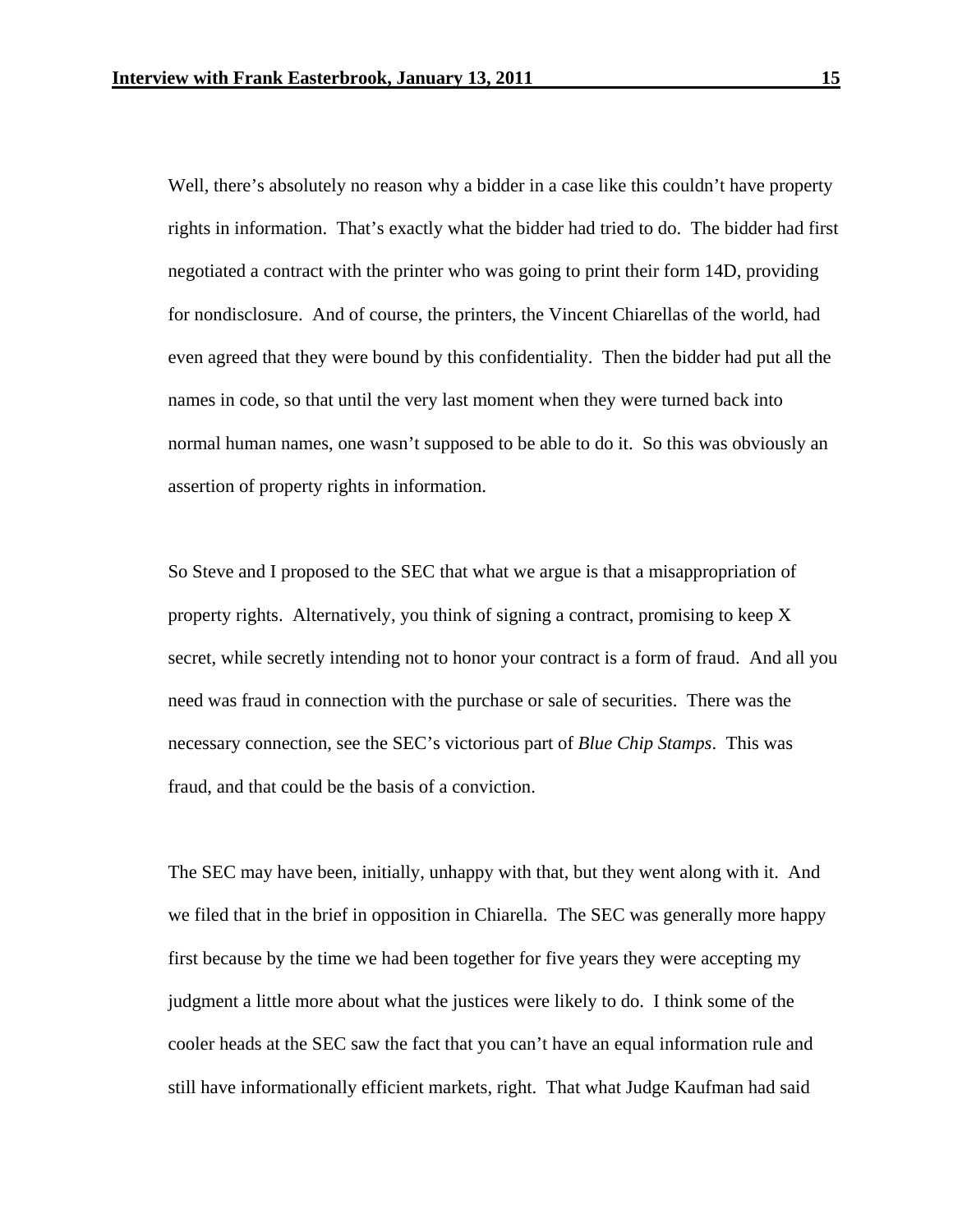Well, there's absolutely no reason why a bidder in a case like this couldn't have property rights in information. That's exactly what the bidder had tried to do. The bidder had first negotiated a contract with the printer who was going to print their form 14D, providing for nondisclosure. And of course, the printers, the Vincent Chiarellas of the world, had even agreed that they were bound by this confidentiality. Then the bidder had put all the names in code, so that until the very last moment when they were turned back into normal human names, one wasn't supposed to be able to do it. So this was obviously an assertion of property rights in information.

 So Steve and I proposed to the SEC that what we argue is that a misappropriation of property rights. Alternatively, you think of signing a contract, promising to keep X secret, while secretly intending not to honor your contract is a form of fraud. And all you need was fraud in connection with the purchase or sale of securities. There was the necessary connection, see the SEC's victorious part of *Blue Chip Stamps*. This was fraud, and that could be the basis of a conviction.

 The SEC may have been, initially, unhappy with that, but they went along with it. And we filed that in the brief in opposition in Chiarella. The SEC was generally more happy first because by the time we had been together for five years they were accepting my judgment a little more about what the justices were likely to do. I think some of the cooler heads at the SEC saw the fact that you can't have an equal information rule and still have informationally efficient markets, right. That what Judge Kaufman had said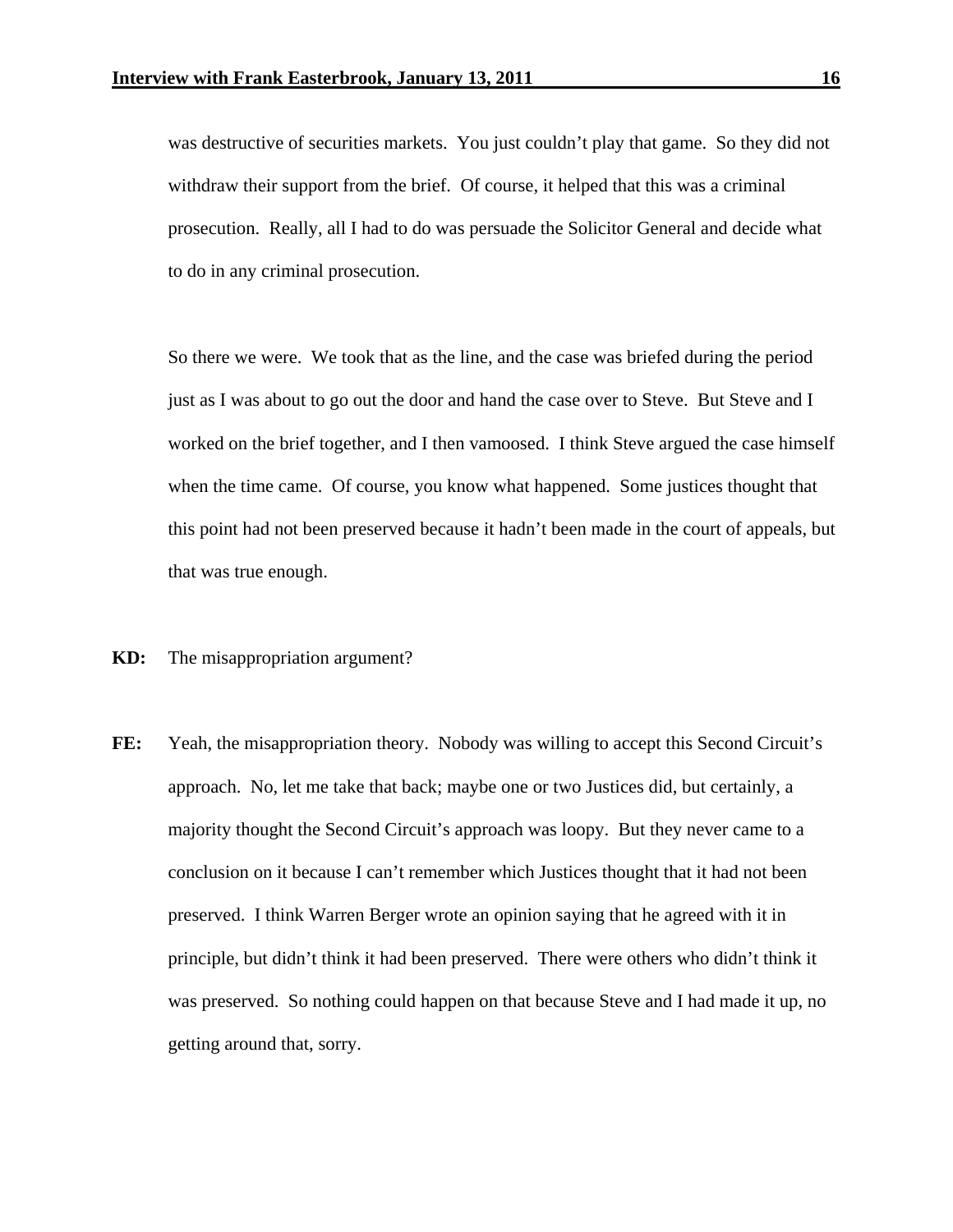was destructive of securities markets. You just couldn't play that game. So they did not withdraw their support from the brief. Of course, it helped that this was a criminal prosecution. Really, all I had to do was persuade the Solicitor General and decide what to do in any criminal prosecution.

 So there we were. We took that as the line, and the case was briefed during the period just as I was about to go out the door and hand the case over to Steve. But Steve and I worked on the brief together, and I then vamoosed. I think Steve argued the case himself when the time came. Of course, you know what happened. Some justices thought that this point had not been preserved because it hadn't been made in the court of appeals, but that was true enough.

- **KD:** The misappropriation argument?
- **FE:** Yeah, the misappropriation theory. Nobody was willing to accept this Second Circuit's approach. No, let me take that back; maybe one or two Justices did, but certainly, a majority thought the Second Circuit's approach was loopy. But they never came to a conclusion on it because I can't remember which Justices thought that it had not been preserved. I think Warren Berger wrote an opinion saying that he agreed with it in principle, but didn't think it had been preserved. There were others who didn't think it was preserved. So nothing could happen on that because Steve and I had made it up, no getting around that, sorry.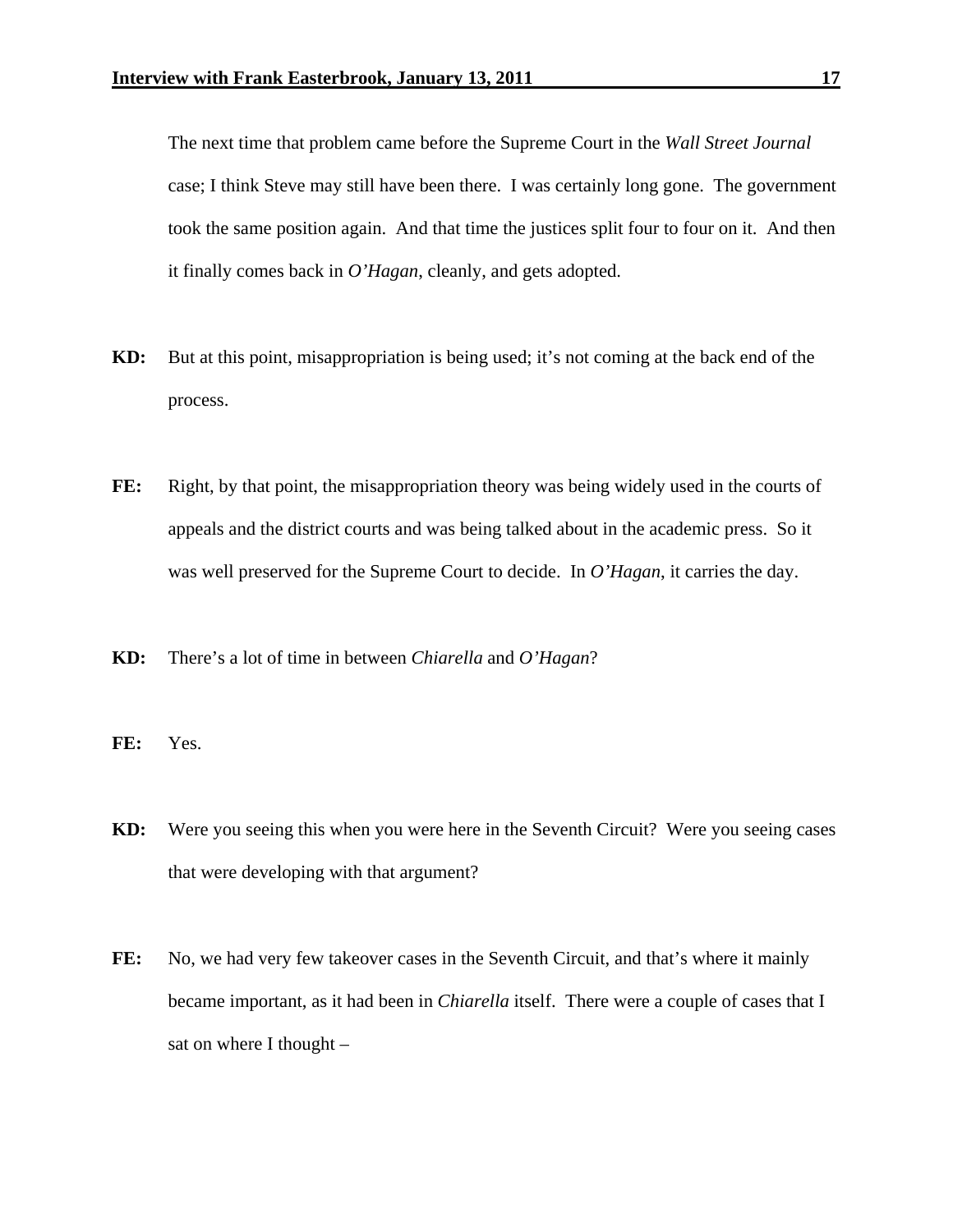The next time that problem came before the Supreme Court in the *Wall Street Journal*  case; I think Steve may still have been there. I was certainly long gone. The government took the same position again. And that time the justices split four to four on it. And then it finally comes back in *O'Hagan*, cleanly, and gets adopted.

- **KD:** But at this point, misappropriation is being used; it's not coming at the back end of the process.
- FE: Right, by that point, the misappropriation theory was being widely used in the courts of appeals and the district courts and was being talked about in the academic press. So it was well preserved for the Supreme Court to decide. In *O'Hagan*, it carries the day.
- **KD:** There's a lot of time in between *Chiarella* and *O'Hagan*?
- **FE:** Yes.
- **KD:** Were you seeing this when you were here in the Seventh Circuit? Were you seeing cases that were developing with that argument?
- **FE:** No, we had very few takeover cases in the Seventh Circuit, and that's where it mainly became important, as it had been in *Chiarella* itself. There were a couple of cases that I sat on where I thought –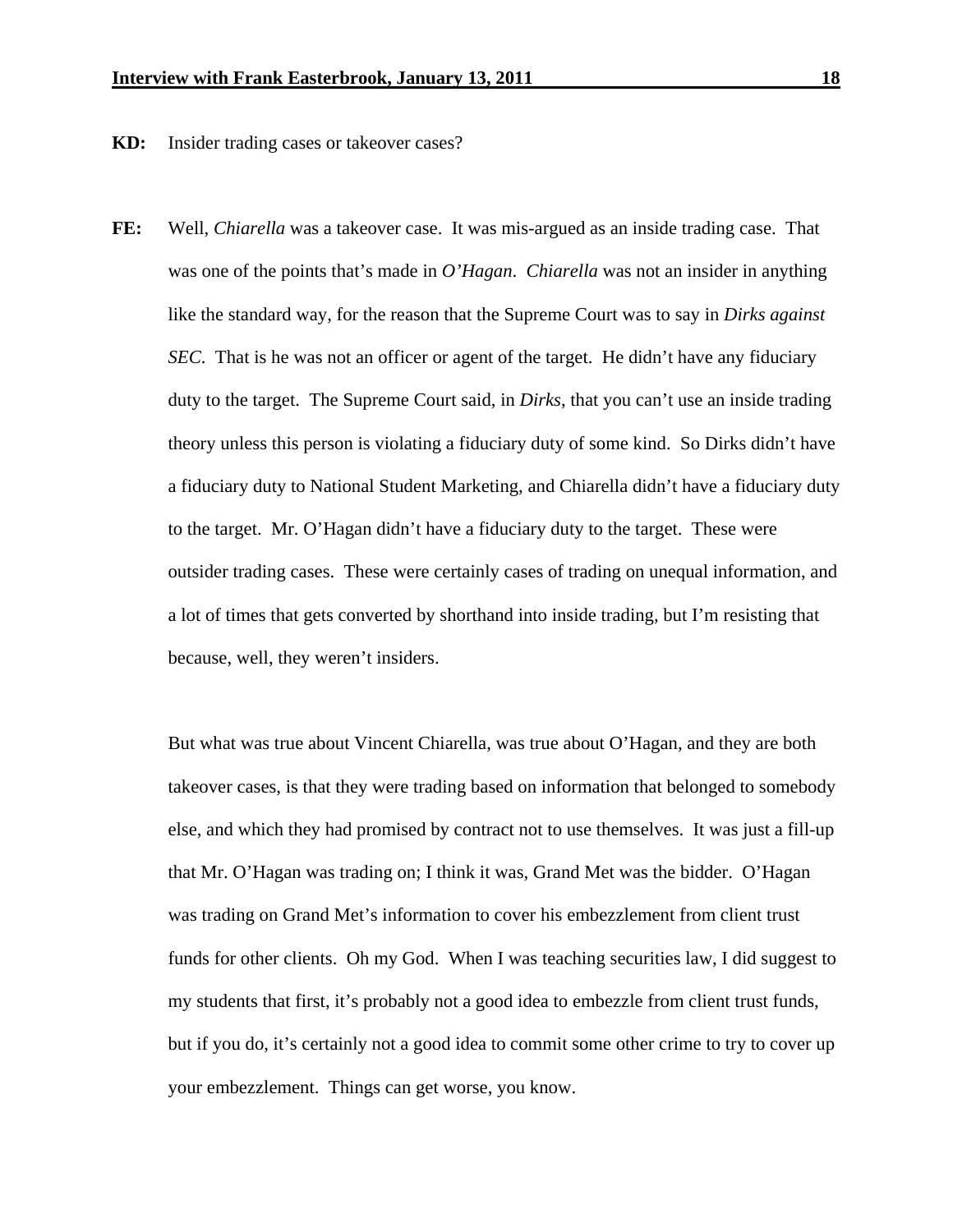**KD:** Insider trading cases or takeover cases?

**FE:** Well, *Chiarella* was a takeover case. It was mis-argued as an inside trading case. That was one of the points that's made in *O'Hagan*. *Chiarella* was not an insider in anything like the standard way, for the reason that the Supreme Court was to say in *Dirks against SEC*. That is he was not an officer or agent of the target. He didn't have any fiduciary duty to the target. The Supreme Court said, in *Dirks*, that you can't use an inside trading theory unless this person is violating a fiduciary duty of some kind. So Dirks didn't have a fiduciary duty to National Student Marketing, and Chiarella didn't have a fiduciary duty to the target. Mr. O'Hagan didn't have a fiduciary duty to the target. These were outsider trading cases. These were certainly cases of trading on unequal information, and a lot of times that gets converted by shorthand into inside trading, but I'm resisting that because, well, they weren't insiders.

 But what was true about Vincent Chiarella, was true about O'Hagan, and they are both takeover cases, is that they were trading based on information that belonged to somebody else, and which they had promised by contract not to use themselves. It was just a fill-up that Mr. O'Hagan was trading on; I think it was, Grand Met was the bidder. O'Hagan was trading on Grand Met's information to cover his embezzlement from client trust funds for other clients. Oh my God. When I was teaching securities law, I did suggest to my students that first, it's probably not a good idea to embezzle from client trust funds, but if you do, it's certainly not a good idea to commit some other crime to try to cover up your embezzlement. Things can get worse, you know.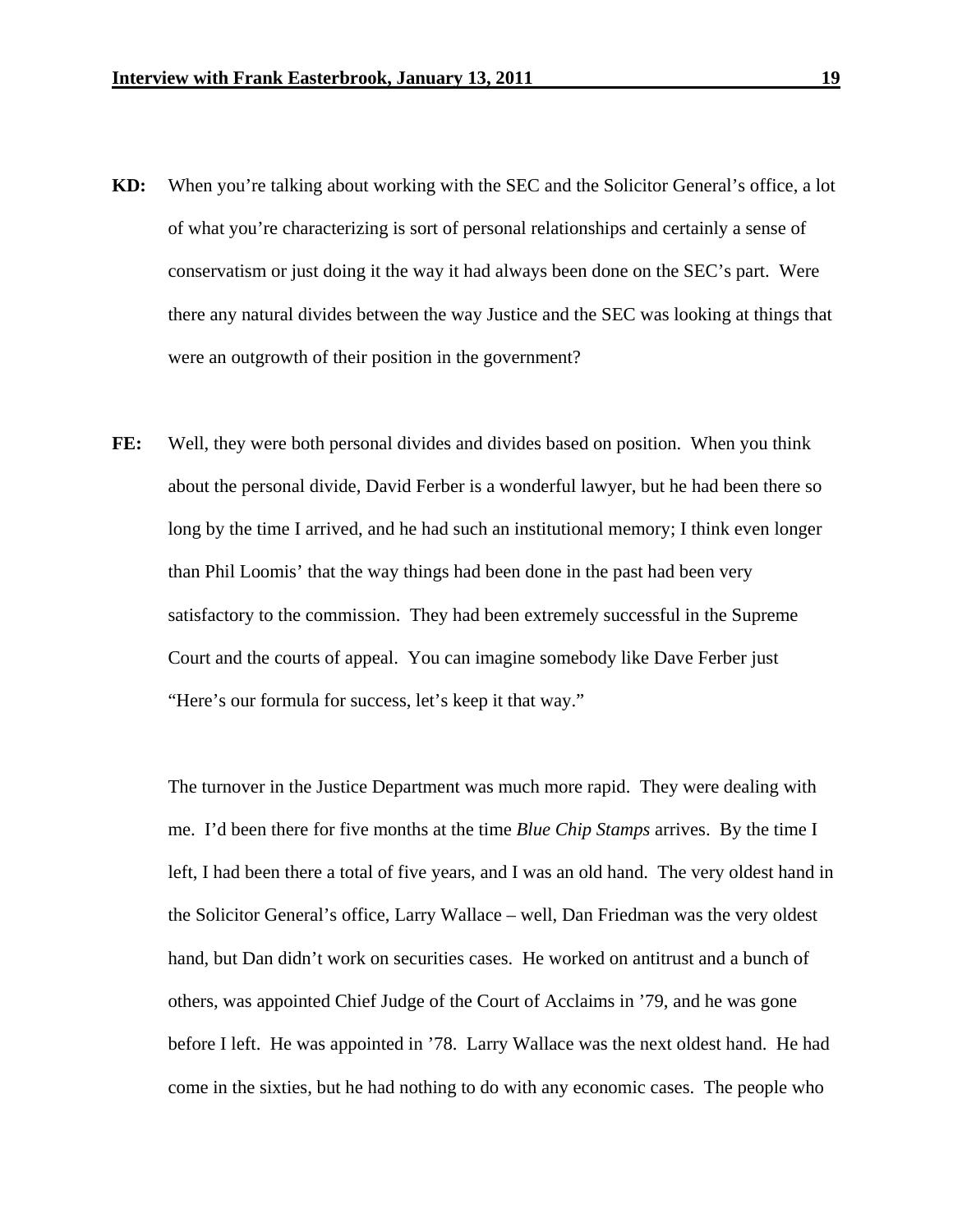- **KD:** When you're talking about working with the SEC and the Solicitor General's office, a lot of what you're characterizing is sort of personal relationships and certainly a sense of conservatism or just doing it the way it had always been done on the SEC's part. Were there any natural divides between the way Justice and the SEC was looking at things that were an outgrowth of their position in the government?
- **FE:** Well, they were both personal divides and divides based on position. When you think about the personal divide, David Ferber is a wonderful lawyer, but he had been there so long by the time I arrived, and he had such an institutional memory; I think even longer than Phil Loomis' that the way things had been done in the past had been very satisfactory to the commission. They had been extremely successful in the Supreme Court and the courts of appeal. You can imagine somebody like Dave Ferber just "Here's our formula for success, let's keep it that way."

 The turnover in the Justice Department was much more rapid. They were dealing with me. I'd been there for five months at the time *Blue Chip Stamps* arrives. By the time I left, I had been there a total of five years, and I was an old hand. The very oldest hand in the Solicitor General's office, Larry Wallace – well, Dan Friedman was the very oldest hand, but Dan didn't work on securities cases. He worked on antitrust and a bunch of others, was appointed Chief Judge of the Court of Acclaims in '79, and he was gone before I left. He was appointed in '78. Larry Wallace was the next oldest hand. He had come in the sixties, but he had nothing to do with any economic cases. The people who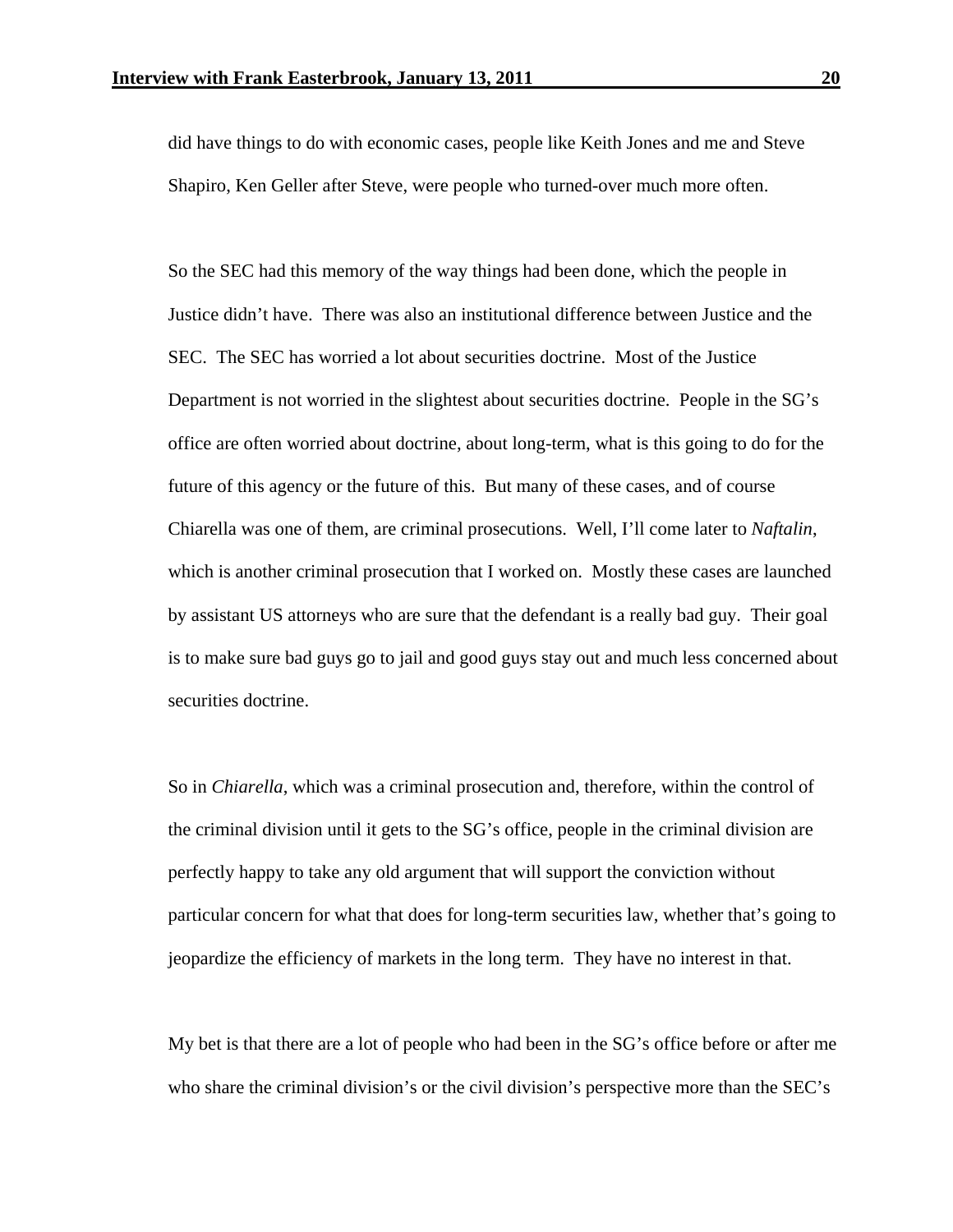did have things to do with economic cases, people like Keith Jones and me and Steve Shapiro, Ken Geller after Steve, were people who turned-over much more often.

 So the SEC had this memory of the way things had been done, which the people in Justice didn't have. There was also an institutional difference between Justice and the SEC. The SEC has worried a lot about securities doctrine. Most of the Justice Department is not worried in the slightest about securities doctrine. People in the SG's office are often worried about doctrine, about long-term, what is this going to do for the future of this agency or the future of this. But many of these cases, and of course Chiarella was one of them, are criminal prosecutions. Well, I'll come later to *Naftalin*, which is another criminal prosecution that I worked on. Mostly these cases are launched by assistant US attorneys who are sure that the defendant is a really bad guy. Their goal is to make sure bad guys go to jail and good guys stay out and much less concerned about securities doctrine.

 So in *Chiarella*, which was a criminal prosecution and, therefore, within the control of the criminal division until it gets to the SG's office, people in the criminal division are perfectly happy to take any old argument that will support the conviction without particular concern for what that does for long-term securities law, whether that's going to jeopardize the efficiency of markets in the long term. They have no interest in that.

My bet is that there are a lot of people who had been in the SG's office before or after me who share the criminal division's or the civil division's perspective more than the SEC's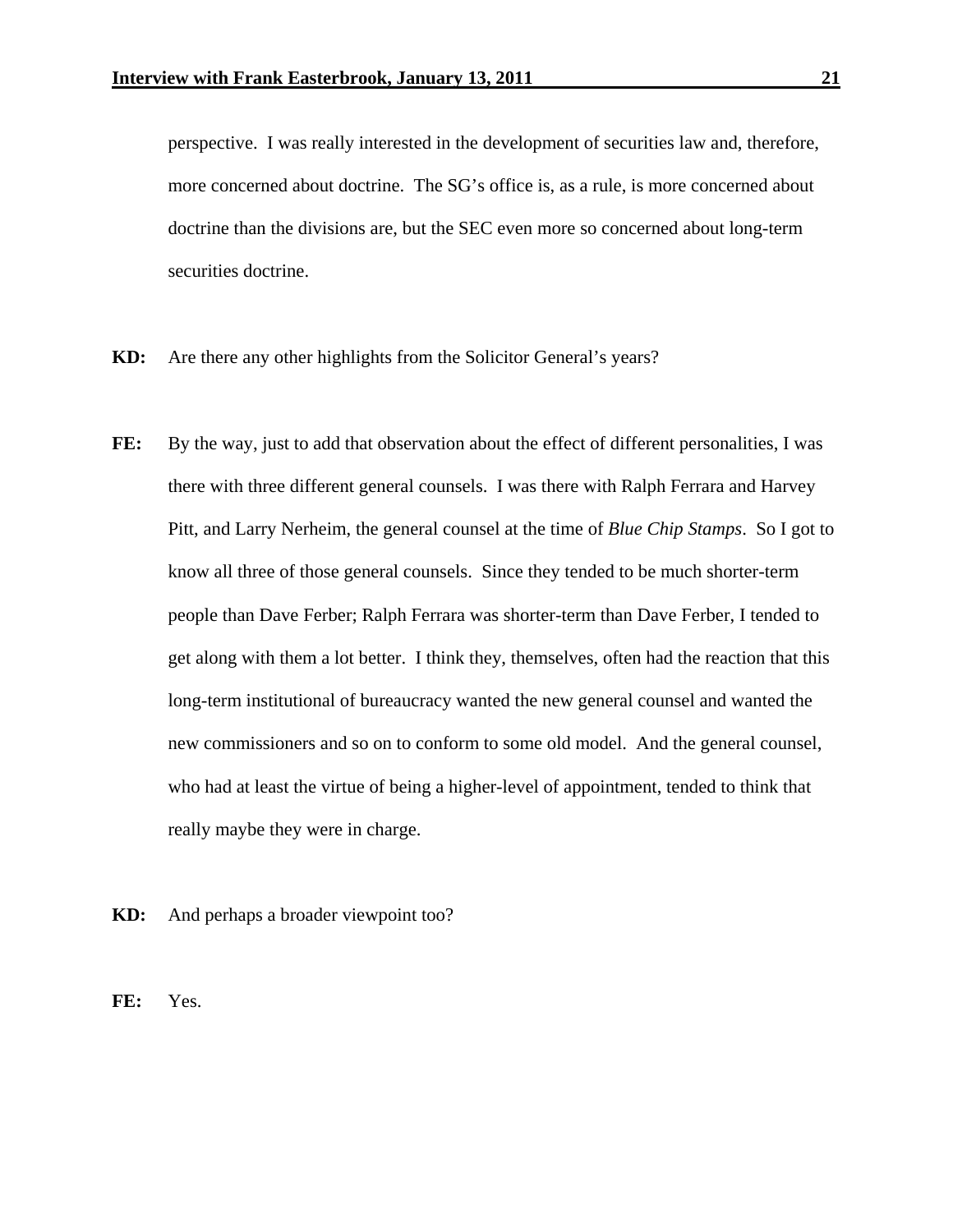perspective. I was really interested in the development of securities law and, therefore, more concerned about doctrine. The SG's office is, as a rule, is more concerned about doctrine than the divisions are, but the SEC even more so concerned about long-term securities doctrine.

- **KD:** Are there any other highlights from the Solicitor General's years?
- FE: By the way, just to add that observation about the effect of different personalities, I was there with three different general counsels. I was there with Ralph Ferrara and Harvey Pitt, and Larry Nerheim, the general counsel at the time of *Blue Chip Stamps*. So I got to know all three of those general counsels. Since they tended to be much shorter-term people than Dave Ferber; Ralph Ferrara was shorter-term than Dave Ferber, I tended to get along with them a lot better. I think they, themselves, often had the reaction that this long-term institutional of bureaucracy wanted the new general counsel and wanted the new commissioners and so on to conform to some old model. And the general counsel, who had at least the virtue of being a higher-level of appointment, tended to think that really maybe they were in charge.
- **KD:** And perhaps a broader viewpoint too?
- **FE:** Yes.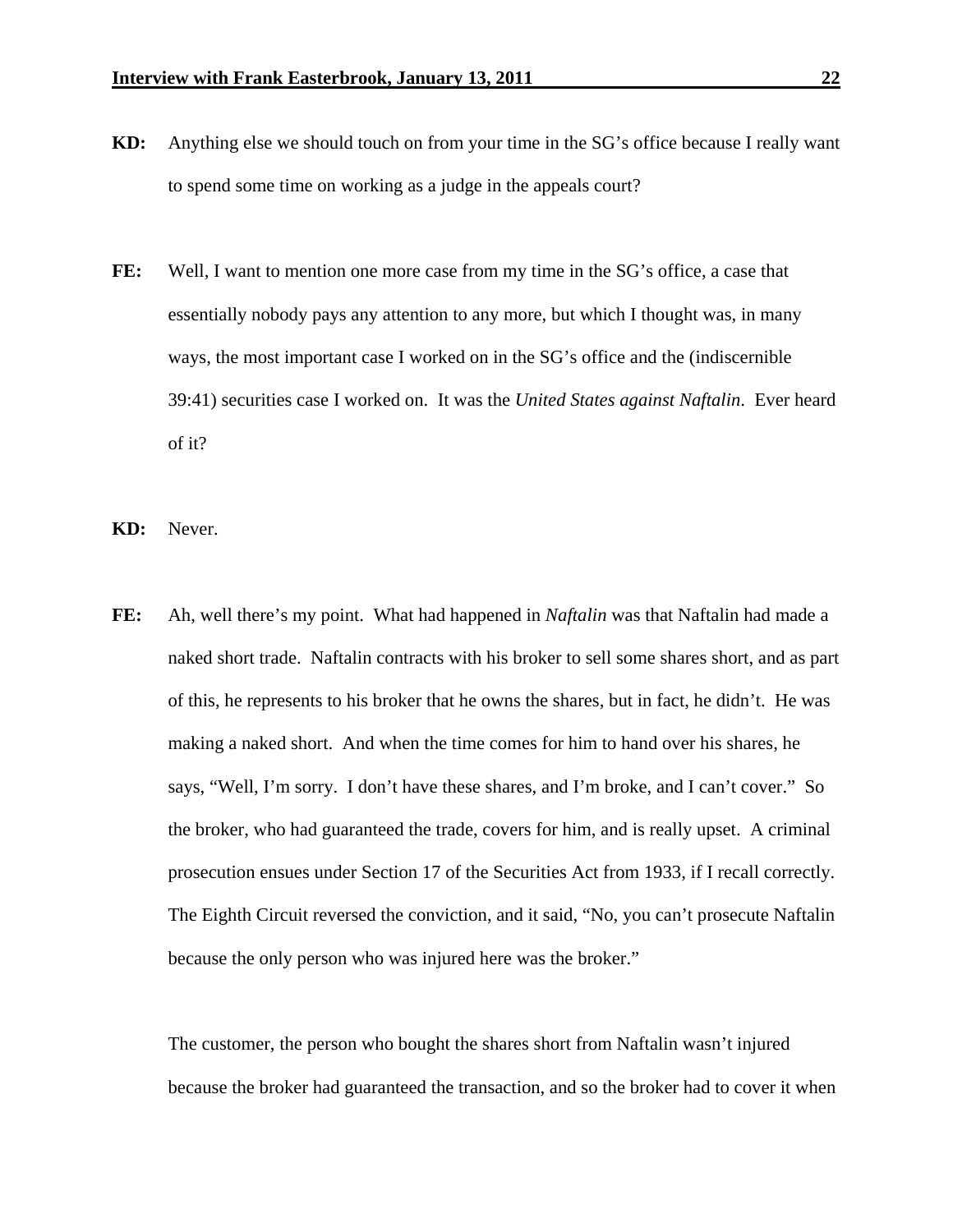- **KD:** Anything else we should touch on from your time in the SG's office because I really want to spend some time on working as a judge in the appeals court?
- **FE:** Well, I want to mention one more case from my time in the SG's office, a case that essentially nobody pays any attention to any more, but which I thought was, in many ways, the most important case I worked on in the SG's office and the (indiscernible 39:41) securities case I worked on. It was the *United States against Naftalin*. Ever heard of it?
- **KD:** Never.
- **FE:** Ah, well there's my point. What had happened in *Naftalin* was that Naftalin had made a naked short trade. Naftalin contracts with his broker to sell some shares short, and as part of this, he represents to his broker that he owns the shares, but in fact, he didn't. He was making a naked short. And when the time comes for him to hand over his shares, he says, "Well, I'm sorry. I don't have these shares, and I'm broke, and I can't cover." So the broker, who had guaranteed the trade, covers for him, and is really upset. A criminal prosecution ensues under Section 17 of the Securities Act from 1933, if I recall correctly. The Eighth Circuit reversed the conviction, and it said, "No, you can't prosecute Naftalin because the only person who was injured here was the broker."

The customer, the person who bought the shares short from Naftalin wasn't injured because the broker had guaranteed the transaction, and so the broker had to cover it when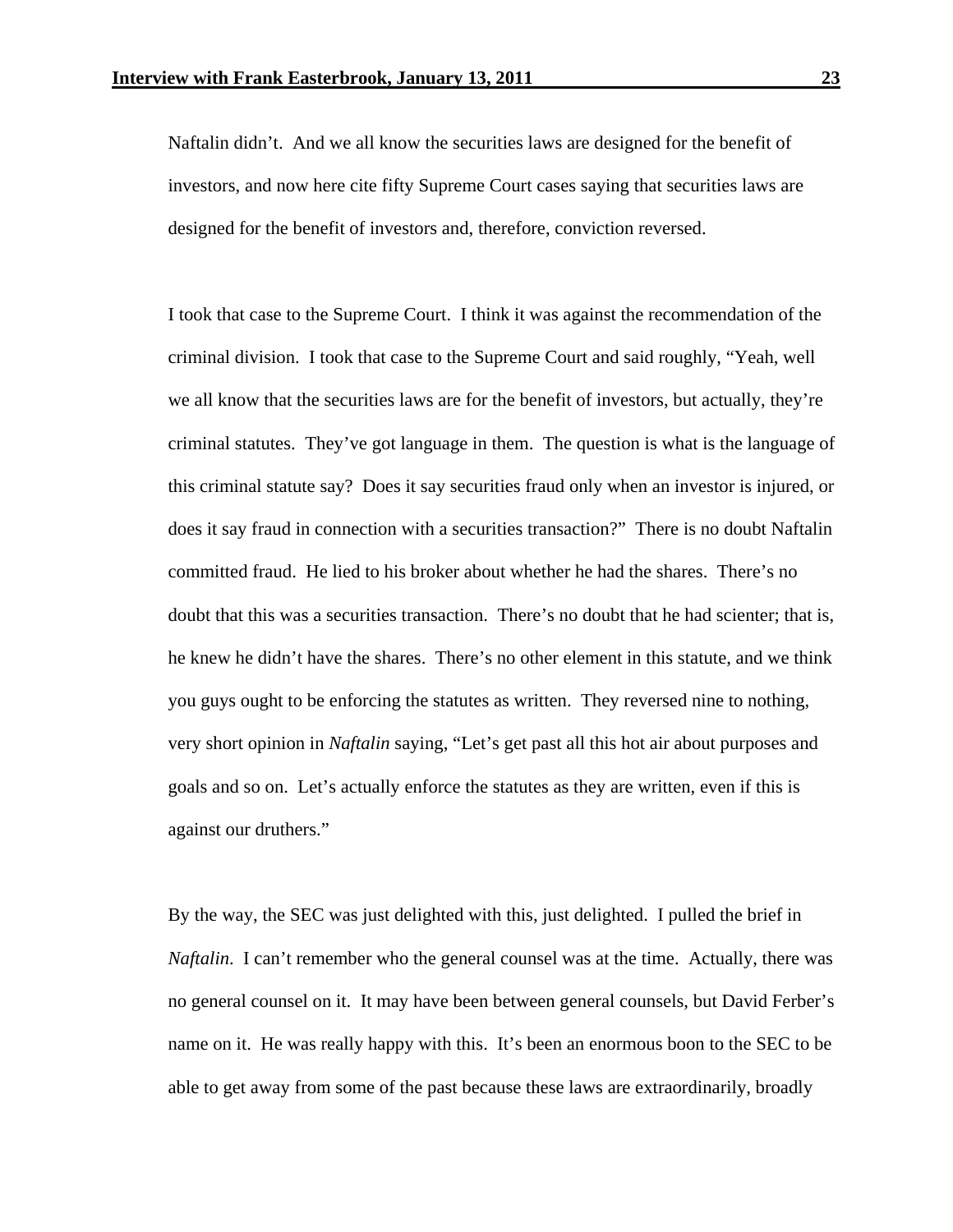Naftalin didn't. And we all know the securities laws are designed for the benefit of investors, and now here cite fifty Supreme Court cases saying that securities laws are designed for the benefit of investors and, therefore, conviction reversed.

 I took that case to the Supreme Court. I think it was against the recommendation of the criminal division. I took that case to the Supreme Court and said roughly, "Yeah, well we all know that the securities laws are for the benefit of investors, but actually, they're criminal statutes. They've got language in them. The question is what is the language of this criminal statute say? Does it say securities fraud only when an investor is injured, or does it say fraud in connection with a securities transaction?" There is no doubt Naftalin committed fraud. He lied to his broker about whether he had the shares. There's no doubt that this was a securities transaction. There's no doubt that he had scienter; that is, he knew he didn't have the shares. There's no other element in this statute, and we think you guys ought to be enforcing the statutes as written. They reversed nine to nothing, very short opinion in *Naftalin* saying, "Let's get past all this hot air about purposes and goals and so on. Let's actually enforce the statutes as they are written, even if this is against our druthers."

 By the way, the SEC was just delighted with this, just delighted. I pulled the brief in *Naftalin*. I can't remember who the general counsel was at the time. Actually, there was no general counsel on it. It may have been between general counsels, but David Ferber's name on it. He was really happy with this. It's been an enormous boon to the SEC to be able to get away from some of the past because these laws are extraordinarily, broadly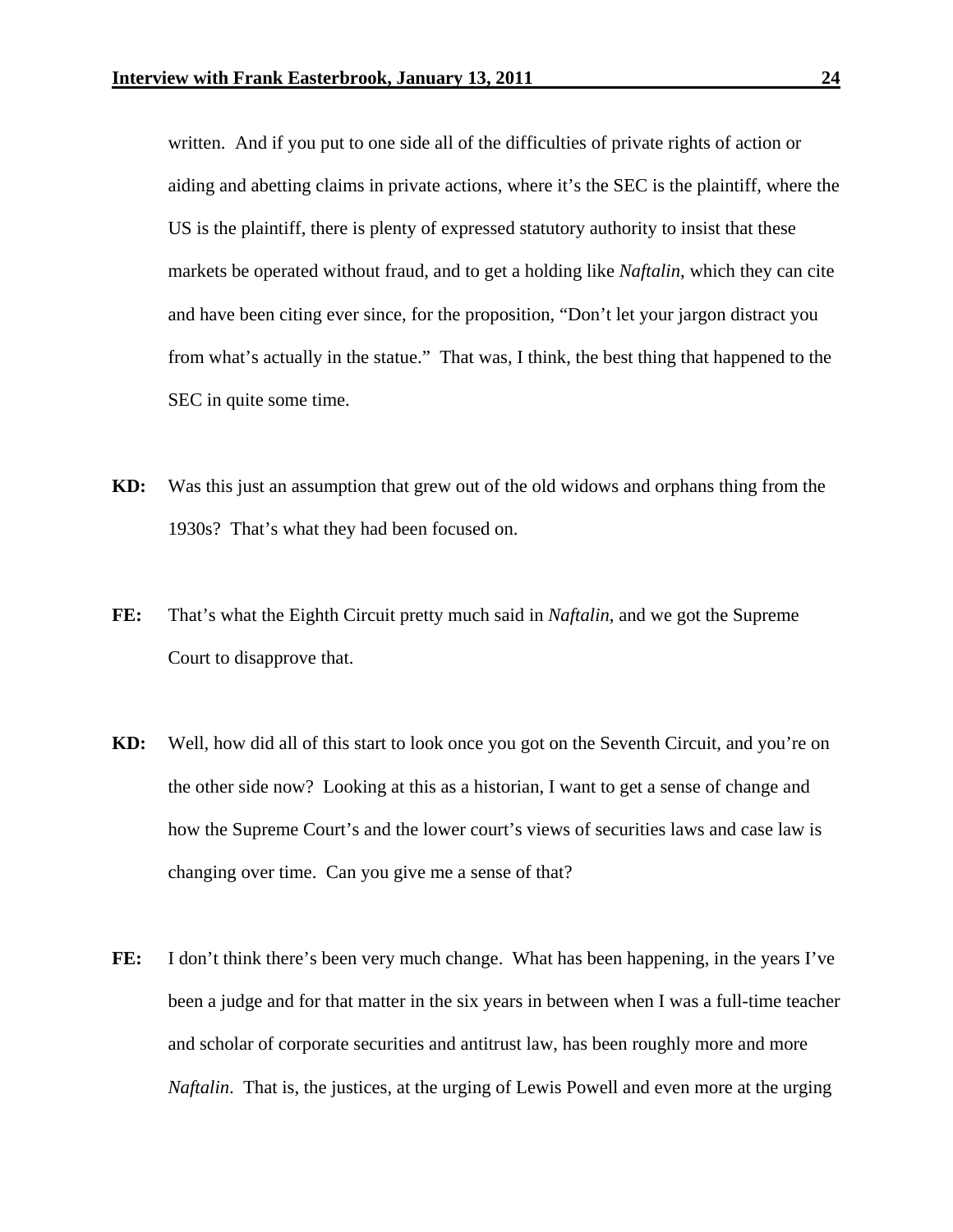written. And if you put to one side all of the difficulties of private rights of action or aiding and abetting claims in private actions, where it's the SEC is the plaintiff, where the US is the plaintiff, there is plenty of expressed statutory authority to insist that these markets be operated without fraud, and to get a holding like *Naftalin*, which they can cite and have been citing ever since, for the proposition, "Don't let your jargon distract you from what's actually in the statue." That was, I think, the best thing that happened to the SEC in quite some time.

- **KD:** Was this just an assumption that grew out of the old widows and orphans thing from the 1930s? That's what they had been focused on.
- **FE:** That's what the Eighth Circuit pretty much said in *Naftalin*, and we got the Supreme Court to disapprove that.
- **KD:** Well, how did all of this start to look once you got on the Seventh Circuit, and you're on the other side now? Looking at this as a historian, I want to get a sense of change and how the Supreme Court's and the lower court's views of securities laws and case law is changing over time. Can you give me a sense of that?
- **FE:** I don't think there's been very much change. What has been happening, in the years I've been a judge and for that matter in the six years in between when I was a full-time teacher and scholar of corporate securities and antitrust law, has been roughly more and more *Naftalin*. That is, the justices, at the urging of Lewis Powell and even more at the urging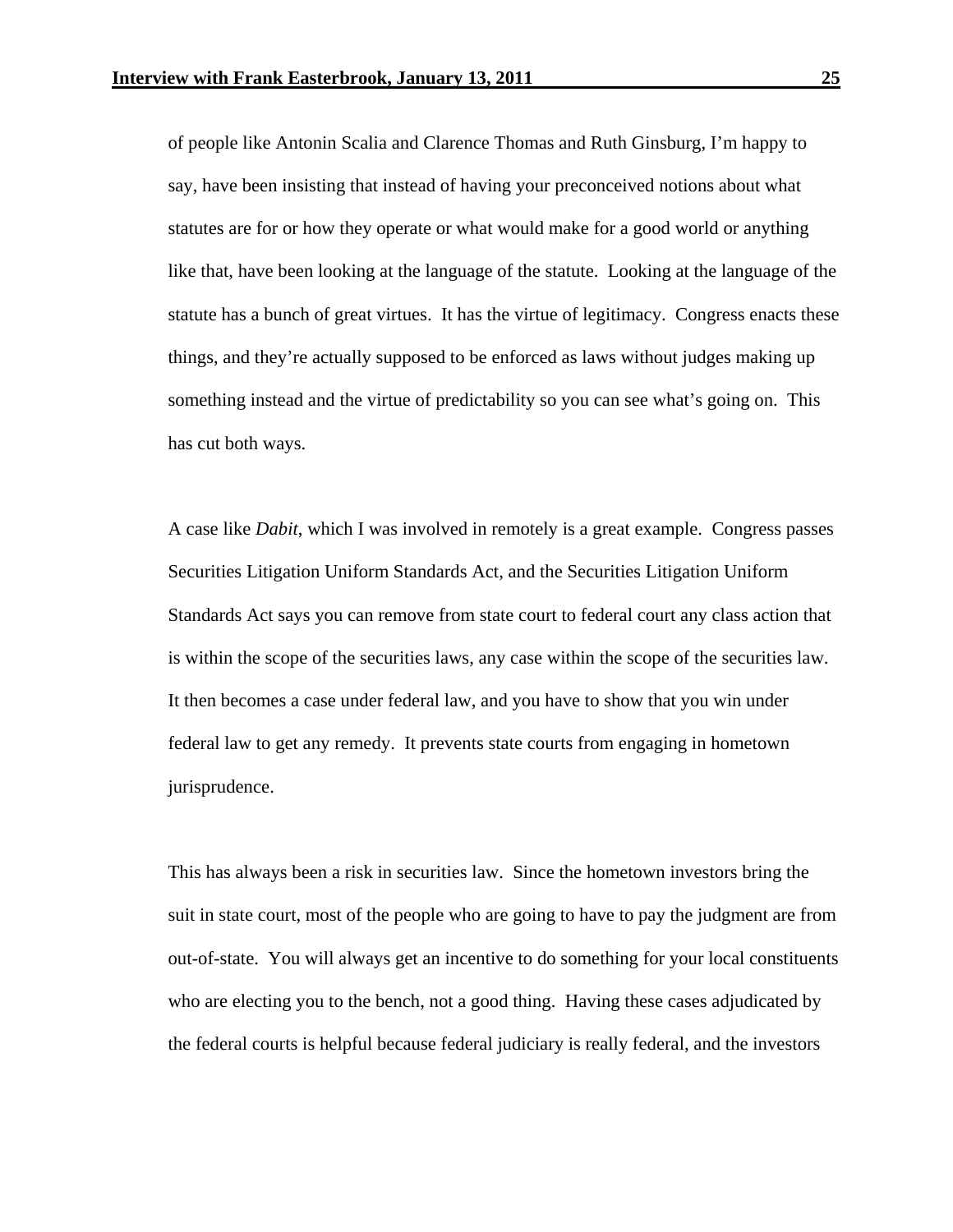of people like Antonin Scalia and Clarence Thomas and Ruth Ginsburg, I'm happy to say, have been insisting that instead of having your preconceived notions about what statutes are for or how they operate or what would make for a good world or anything like that, have been looking at the language of the statute. Looking at the language of the statute has a bunch of great virtues. It has the virtue of legitimacy. Congress enacts these things, and they're actually supposed to be enforced as laws without judges making up something instead and the virtue of predictability so you can see what's going on. This has cut both ways.

 A case like *Dabit*, which I was involved in remotely is a great example. Congress passes Securities Litigation Uniform Standards Act, and the Securities Litigation Uniform Standards Act says you can remove from state court to federal court any class action that is within the scope of the securities laws, any case within the scope of the securities law. It then becomes a case under federal law, and you have to show that you win under federal law to get any remedy. It prevents state courts from engaging in hometown jurisprudence.

This has always been a risk in securities law. Since the hometown investors bring the suit in state court, most of the people who are going to have to pay the judgment are from out-of-state. You will always get an incentive to do something for your local constituents who are electing you to the bench, not a good thing. Having these cases adjudicated by the federal courts is helpful because federal judiciary is really federal, and the investors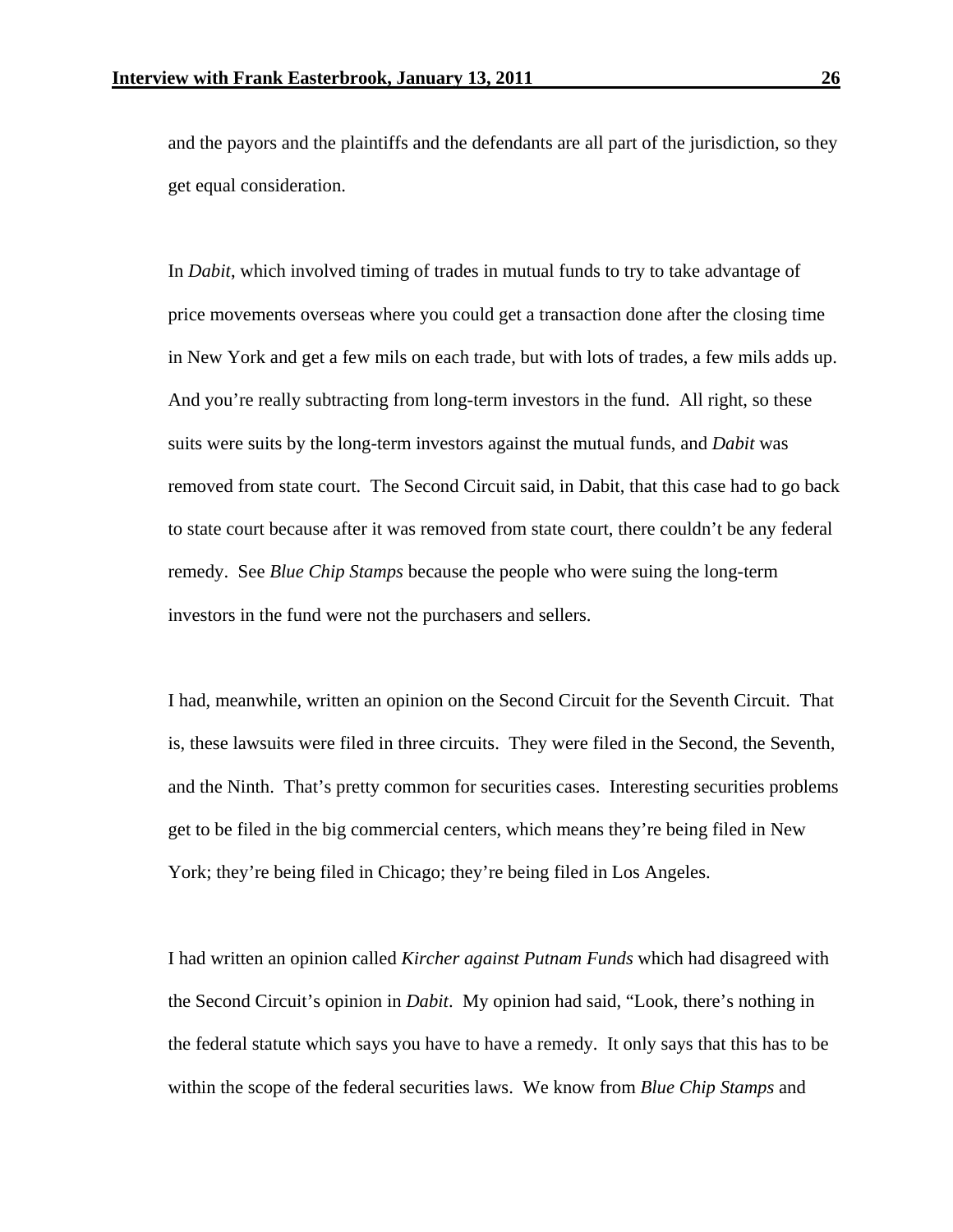and the payors and the plaintiffs and the defendants are all part of the jurisdiction, so they get equal consideration.

 In *Dabit*, which involved timing of trades in mutual funds to try to take advantage of price movements overseas where you could get a transaction done after the closing time in New York and get a few mils on each trade, but with lots of trades, a few mils adds up. And you're really subtracting from long-term investors in the fund. All right, so these suits were suits by the long-term investors against the mutual funds, and *Dabit* was removed from state court. The Second Circuit said, in Dabit, that this case had to go back to state court because after it was removed from state court, there couldn't be any federal remedy. See *Blue Chip Stamps* because the people who were suing the long-term investors in the fund were not the purchasers and sellers.

 I had, meanwhile, written an opinion on the Second Circuit for the Seventh Circuit. That is, these lawsuits were filed in three circuits. They were filed in the Second, the Seventh, and the Ninth. That's pretty common for securities cases. Interesting securities problems get to be filed in the big commercial centers, which means they're being filed in New York; they're being filed in Chicago; they're being filed in Los Angeles.

I had written an opinion called *Kircher against Putnam Funds* which had disagreed with the Second Circuit's opinion in *Dabit*. My opinion had said, "Look, there's nothing in the federal statute which says you have to have a remedy. It only says that this has to be within the scope of the federal securities laws. We know from *Blue Chip Stamps* and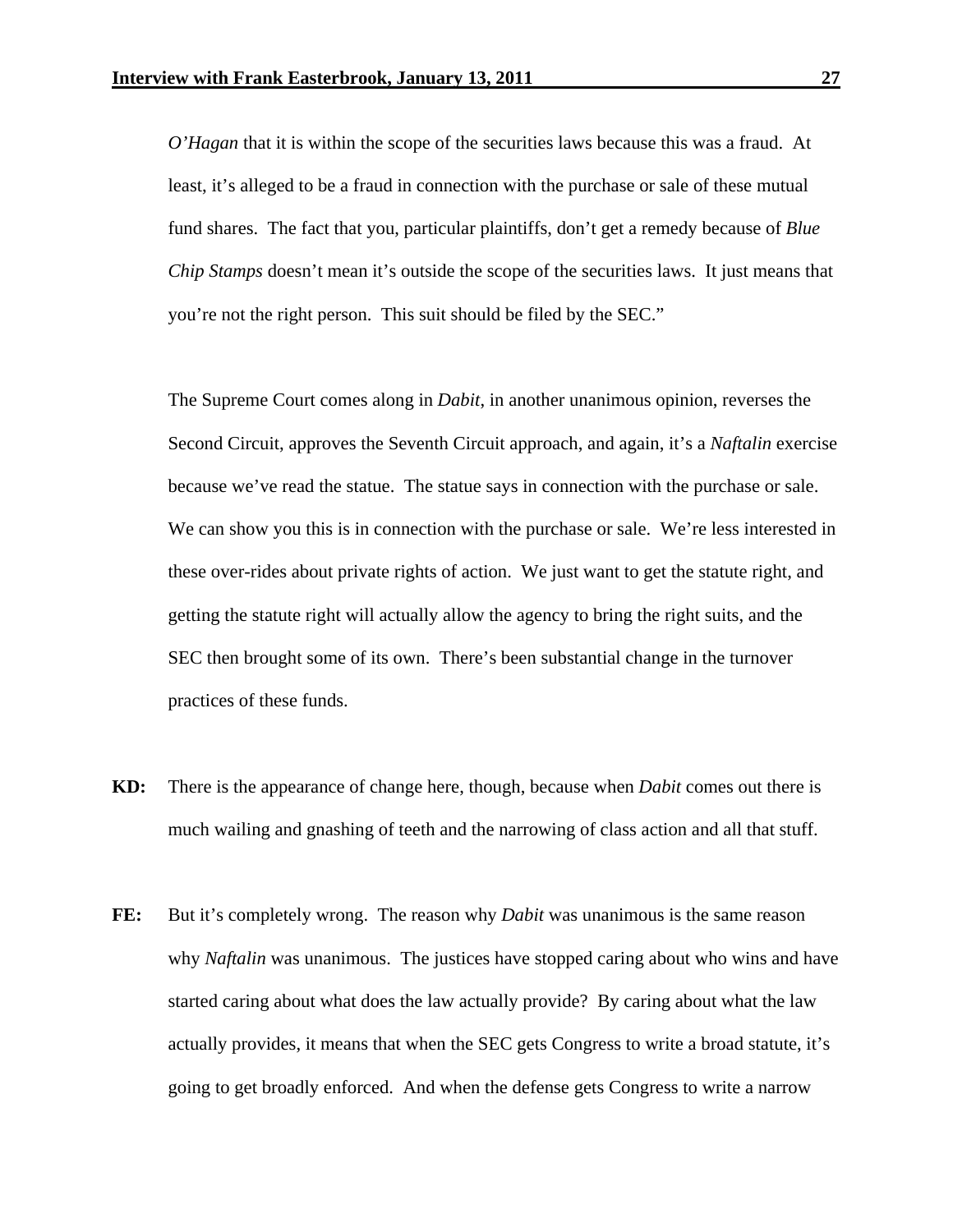*O'Hagan* that it is within the scope of the securities laws because this was a fraud. At least, it's alleged to be a fraud in connection with the purchase or sale of these mutual fund shares. The fact that you, particular plaintiffs, don't get a remedy because of *Blue Chip Stamps* doesn't mean it's outside the scope of the securities laws. It just means that you're not the right person. This suit should be filed by the SEC."

 The Supreme Court comes along in *Dabit*, in another unanimous opinion, reverses the Second Circuit, approves the Seventh Circuit approach, and again, it's a *Naftalin* exercise because we've read the statue. The statue says in connection with the purchase or sale. We can show you this is in connection with the purchase or sale. We're less interested in these over-rides about private rights of action. We just want to get the statute right, and getting the statute right will actually allow the agency to bring the right suits, and the SEC then brought some of its own. There's been substantial change in the turnover practices of these funds.

- **KD:** There is the appearance of change here, though, because when *Dabit* comes out there is much wailing and gnashing of teeth and the narrowing of class action and all that stuff.
- FE: But it's completely wrong. The reason why *Dabit* was unanimous is the same reason why *Naftalin* was unanimous. The justices have stopped caring about who wins and have started caring about what does the law actually provide? By caring about what the law actually provides, it means that when the SEC gets Congress to write a broad statute, it's going to get broadly enforced. And when the defense gets Congress to write a narrow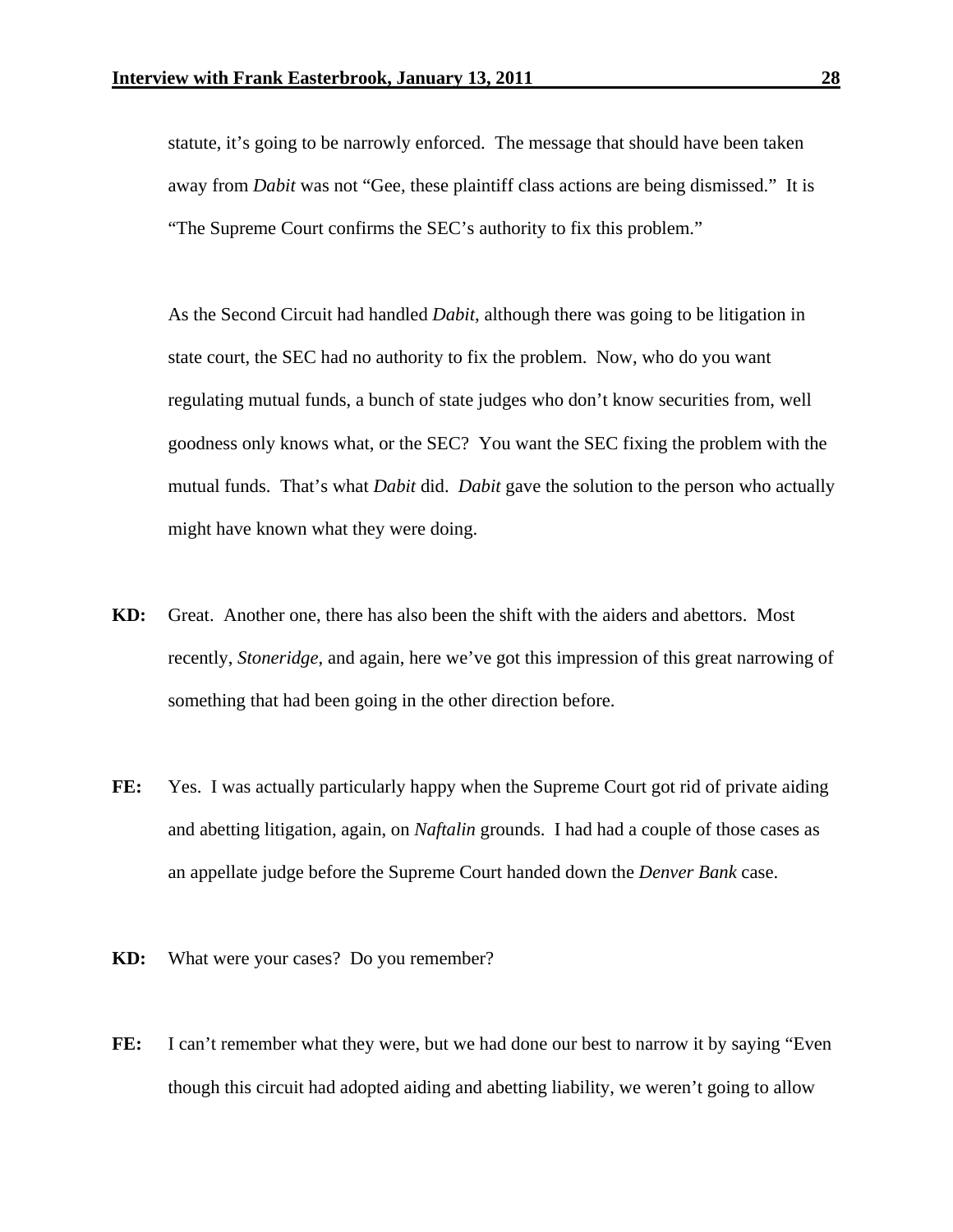statute, it's going to be narrowly enforced. The message that should have been taken away from *Dabit* was not "Gee, these plaintiff class actions are being dismissed." It is "The Supreme Court confirms the SEC's authority to fix this problem."

 As the Second Circuit had handled *Dabit*, although there was going to be litigation in state court, the SEC had no authority to fix the problem. Now, who do you want regulating mutual funds, a bunch of state judges who don't know securities from, well goodness only knows what, or the SEC? You want the SEC fixing the problem with the mutual funds. That's what *Dabit* did. *Dabit* gave the solution to the person who actually might have known what they were doing.

- **KD:** Great. Another one, there has also been the shift with the aiders and abettors. Most recently, *Stoneridge*, and again, here we've got this impression of this great narrowing of something that had been going in the other direction before.
- FE: Yes. I was actually particularly happy when the Supreme Court got rid of private aiding and abetting litigation, again, on *Naftalin* grounds. I had had a couple of those cases as an appellate judge before the Supreme Court handed down the *Denver Bank* case.
- **KD:** What were your cases? Do you remember?
- FE: I can't remember what they were, but we had done our best to narrow it by saying "Even" though this circuit had adopted aiding and abetting liability, we weren't going to allow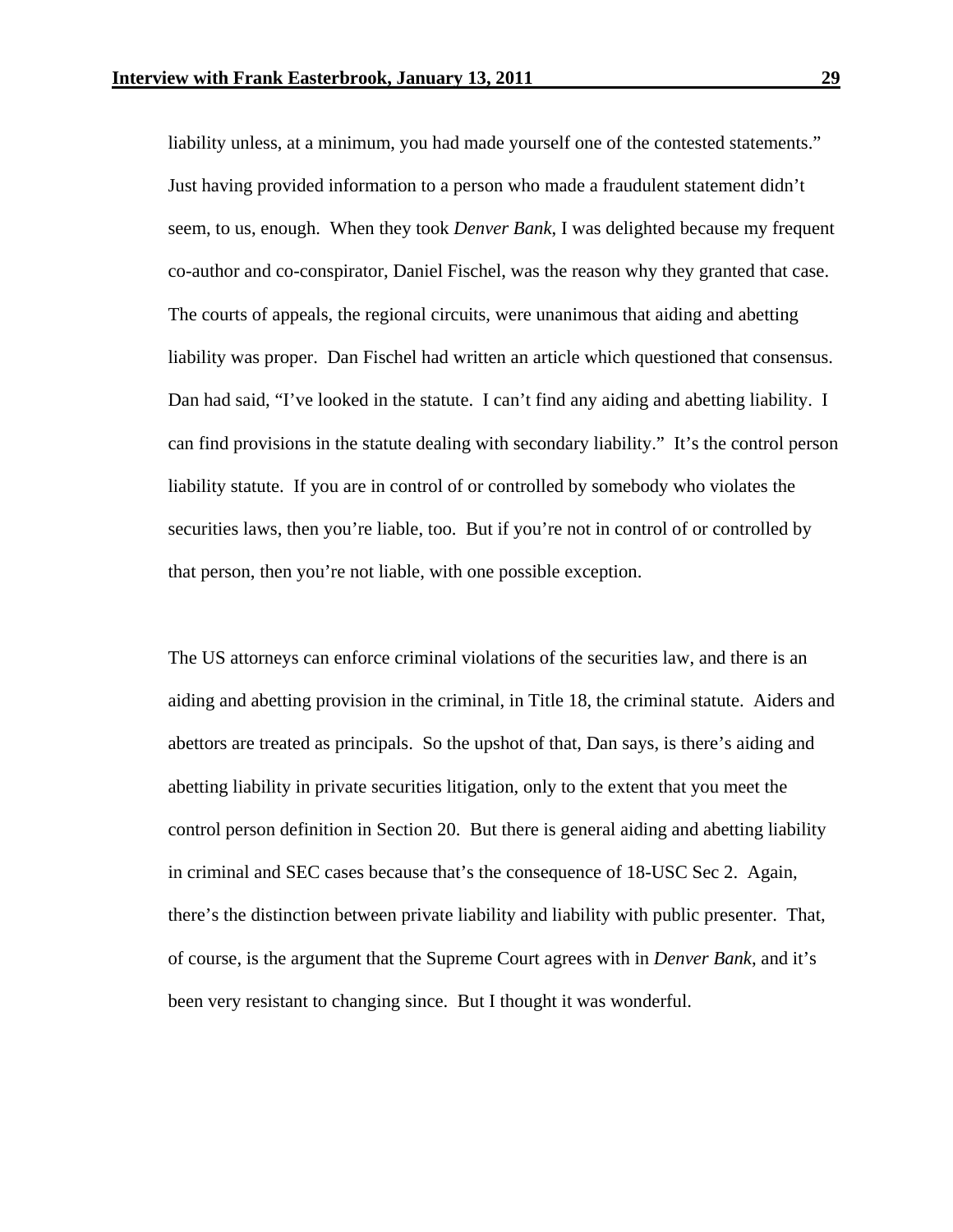liability unless, at a minimum, you had made yourself one of the contested statements." Just having provided information to a person who made a fraudulent statement didn't seem, to us, enough. When they took *Denver Bank*, I was delighted because my frequent co-author and co-conspirator, Daniel Fischel, was the reason why they granted that case. The courts of appeals, the regional circuits, were unanimous that aiding and abetting liability was proper. Dan Fischel had written an article which questioned that consensus. Dan had said, "I've looked in the statute. I can't find any aiding and abetting liability. I can find provisions in the statute dealing with secondary liability." It's the control person liability statute. If you are in control of or controlled by somebody who violates the securities laws, then you're liable, too. But if you're not in control of or controlled by that person, then you're not liable, with one possible exception.

 The US attorneys can enforce criminal violations of the securities law, and there is an aiding and abetting provision in the criminal, in Title 18, the criminal statute. Aiders and abettors are treated as principals. So the upshot of that, Dan says, is there's aiding and abetting liability in private securities litigation, only to the extent that you meet the control person definition in Section 20. But there is general aiding and abetting liability in criminal and SEC cases because that's the consequence of 18-USC Sec 2. Again, there's the distinction between private liability and liability with public presenter. That, of course, is the argument that the Supreme Court agrees with in *Denver Bank*, and it's been very resistant to changing since. But I thought it was wonderful.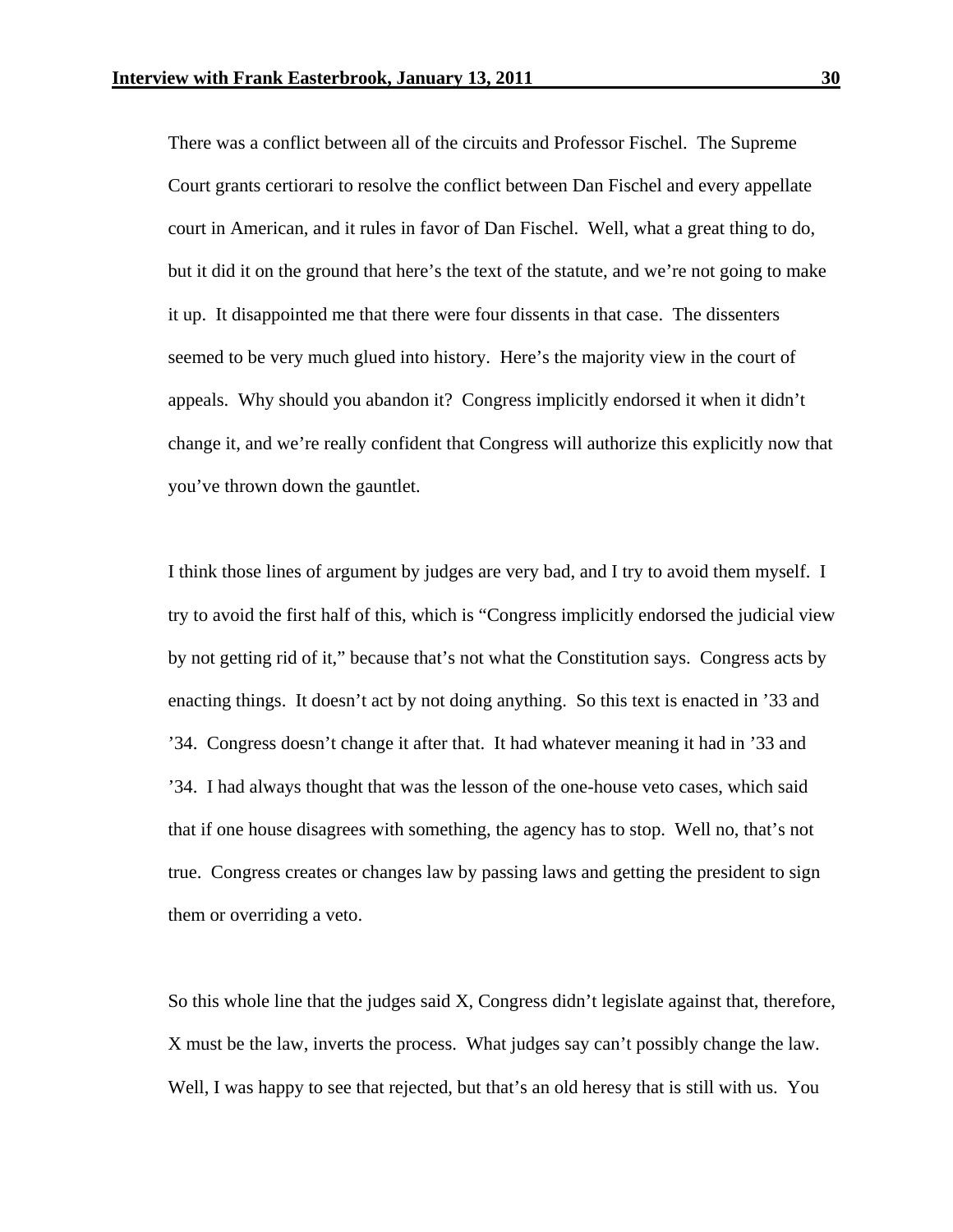There was a conflict between all of the circuits and Professor Fischel. The Supreme Court grants certiorari to resolve the conflict between Dan Fischel and every appellate court in American, and it rules in favor of Dan Fischel. Well, what a great thing to do, but it did it on the ground that here's the text of the statute, and we're not going to make it up. It disappointed me that there were four dissents in that case. The dissenters seemed to be very much glued into history. Here's the majority view in the court of appeals. Why should you abandon it? Congress implicitly endorsed it when it didn't change it, and we're really confident that Congress will authorize this explicitly now that you've thrown down the gauntlet.

 I think those lines of argument by judges are very bad, and I try to avoid them myself. I try to avoid the first half of this, which is "Congress implicitly endorsed the judicial view by not getting rid of it," because that's not what the Constitution says. Congress acts by enacting things. It doesn't act by not doing anything. So this text is enacted in '33 and '34. Congress doesn't change it after that. It had whatever meaning it had in '33 and '34. I had always thought that was the lesson of the one-house veto cases, which said that if one house disagrees with something, the agency has to stop. Well no, that's not true. Congress creates or changes law by passing laws and getting the president to sign them or overriding a veto.

 So this whole line that the judges said X, Congress didn't legislate against that, therefore, X must be the law, inverts the process. What judges say can't possibly change the law. Well, I was happy to see that rejected, but that's an old heresy that is still with us. You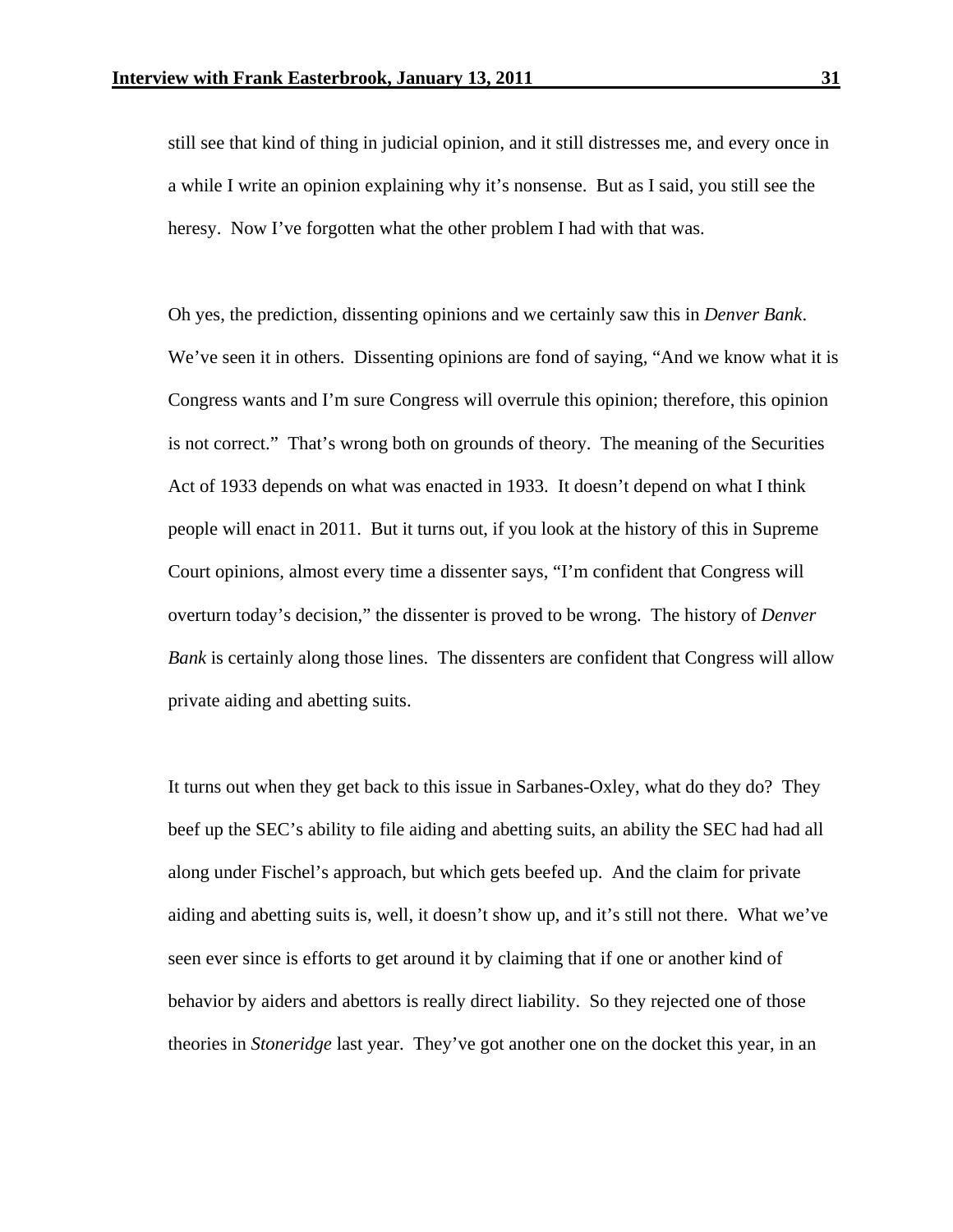still see that kind of thing in judicial opinion, and it still distresses me, and every once in a while I write an opinion explaining why it's nonsense. But as I said, you still see the heresy. Now I've forgotten what the other problem I had with that was.

 Oh yes, the prediction, dissenting opinions and we certainly saw this in *Denver Bank*. We've seen it in others. Dissenting opinions are fond of saying, "And we know what it is Congress wants and I'm sure Congress will overrule this opinion; therefore, this opinion is not correct." That's wrong both on grounds of theory. The meaning of the Securities Act of 1933 depends on what was enacted in 1933. It doesn't depend on what I think people will enact in 2011. But it turns out, if you look at the history of this in Supreme Court opinions, almost every time a dissenter says, "I'm confident that Congress will overturn today's decision," the dissenter is proved to be wrong. The history of *Denver Bank* is certainly along those lines. The dissenters are confident that Congress will allow private aiding and abetting suits.

 It turns out when they get back to this issue in Sarbanes-Oxley, what do they do? They beef up the SEC's ability to file aiding and abetting suits, an ability the SEC had had all along under Fischel's approach, but which gets beefed up. And the claim for private aiding and abetting suits is, well, it doesn't show up, and it's still not there. What we've seen ever since is efforts to get around it by claiming that if one or another kind of behavior by aiders and abettors is really direct liability. So they rejected one of those theories in *Stoneridge* last year. They've got another one on the docket this year, in an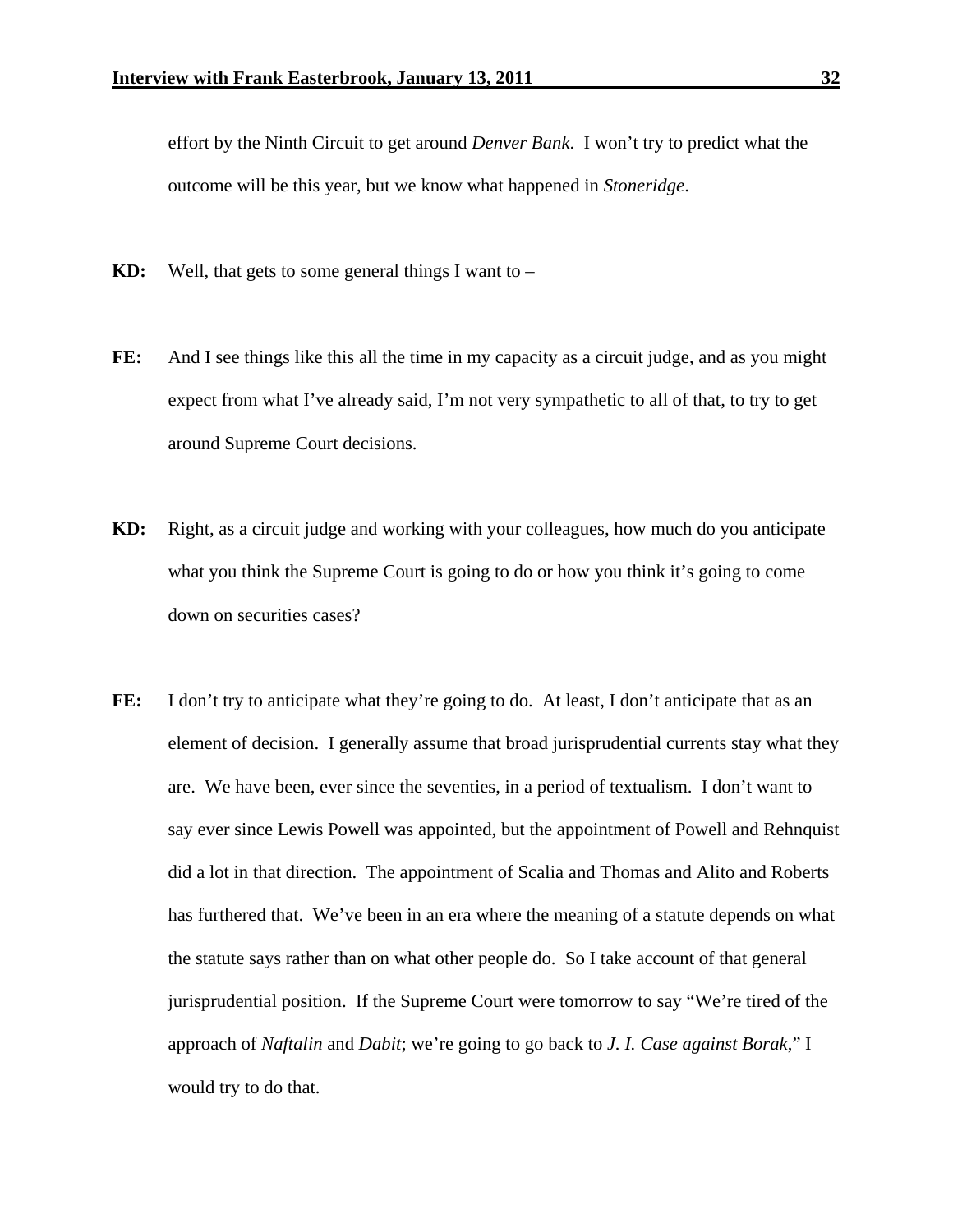effort by the Ninth Circuit to get around *Denver Bank*. I won't try to predict what the outcome will be this year, but we know what happened in *Stoneridge*.

- **KD:** Well, that gets to some general things I want to –
- **FE:** And I see things like this all the time in my capacity as a circuit judge, and as you might expect from what I've already said, I'm not very sympathetic to all of that, to try to get around Supreme Court decisions.
- **KD:** Right, as a circuit judge and working with your colleagues, how much do you anticipate what you think the Supreme Court is going to do or how you think it's going to come down on securities cases?
- FE: I don't try to anticipate what they're going to do. At least, I don't anticipate that as an element of decision. I generally assume that broad jurisprudential currents stay what they are. We have been, ever since the seventies, in a period of textualism. I don't want to say ever since Lewis Powell was appointed, but the appointment of Powell and Rehnquist did a lot in that direction. The appointment of Scalia and Thomas and Alito and Roberts has furthered that. We've been in an era where the meaning of a statute depends on what the statute says rather than on what other people do. So I take account of that general jurisprudential position. If the Supreme Court were tomorrow to say "We're tired of the approach of *Naftalin* and *Dabit*; we're going to go back to *J. I. Case against Borak*," I would try to do that.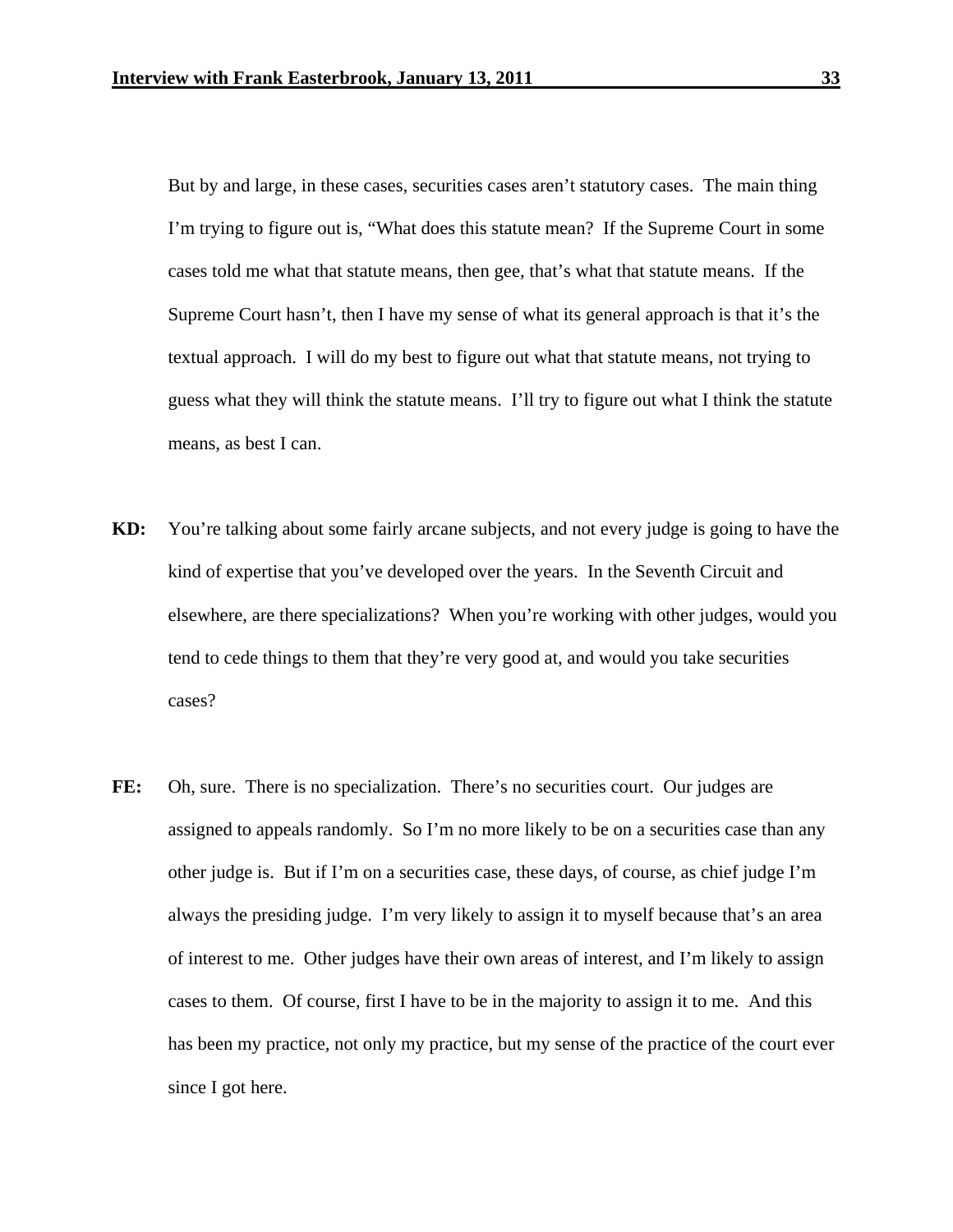But by and large, in these cases, securities cases aren't statutory cases. The main thing I'm trying to figure out is, "What does this statute mean? If the Supreme Court in some cases told me what that statute means, then gee, that's what that statute means. If the Supreme Court hasn't, then I have my sense of what its general approach is that it's the textual approach. I will do my best to figure out what that statute means, not trying to guess what they will think the statute means. I'll try to figure out what I think the statute means, as best I can.

- **KD:** You're talking about some fairly arcane subjects, and not every judge is going to have the kind of expertise that you've developed over the years. In the Seventh Circuit and elsewhere, are there specializations? When you're working with other judges, would you tend to cede things to them that they're very good at, and would you take securities cases?
- FE: Oh, sure. There is no specialization. There's no securities court. Our judges are assigned to appeals randomly. So I'm no more likely to be on a securities case than any other judge is. But if I'm on a securities case, these days, of course, as chief judge I'm always the presiding judge. I'm very likely to assign it to myself because that's an area of interest to me. Other judges have their own areas of interest, and I'm likely to assign cases to them. Of course, first I have to be in the majority to assign it to me. And this has been my practice, not only my practice, but my sense of the practice of the court ever since I got here.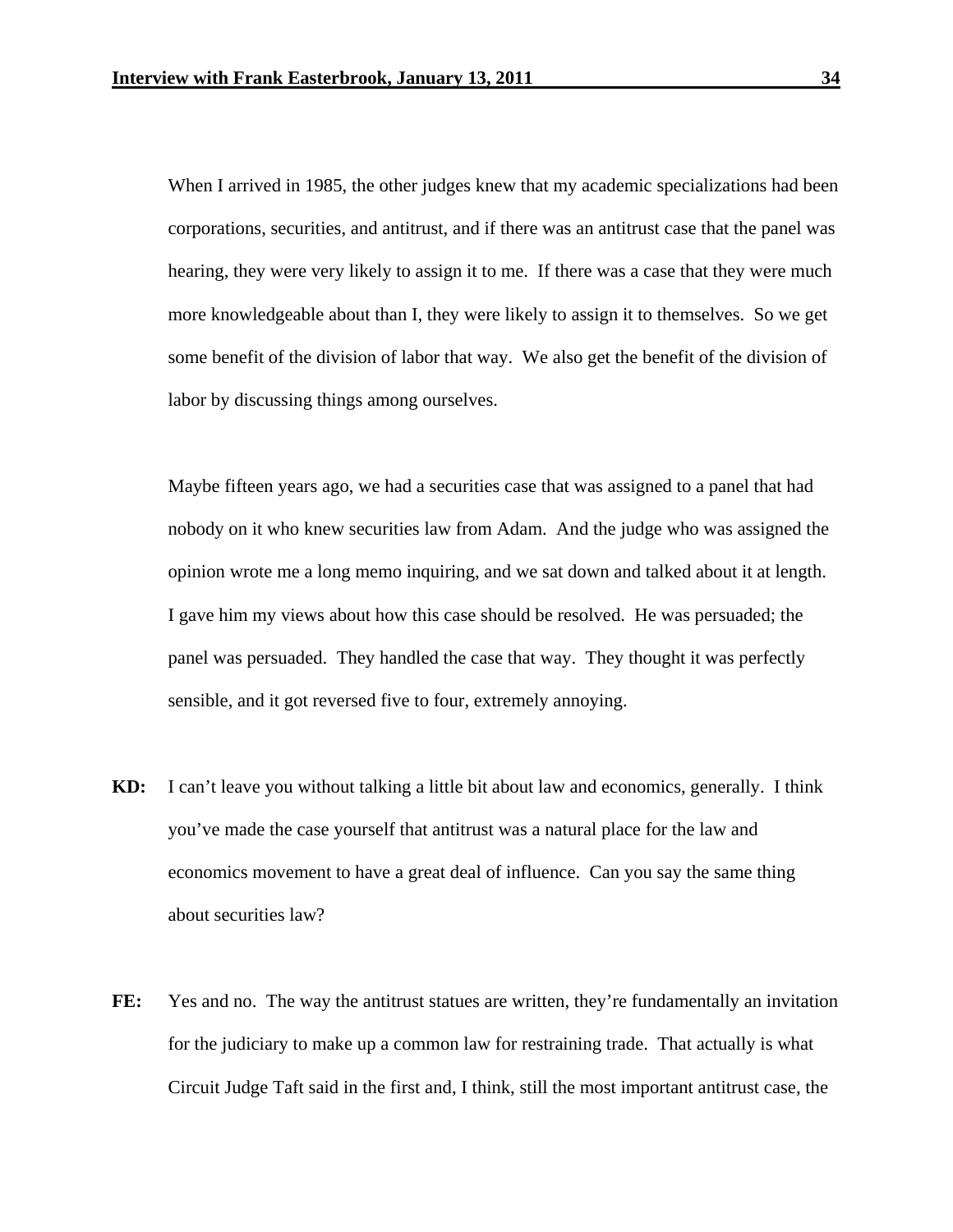When I arrived in 1985, the other judges knew that my academic specializations had been corporations, securities, and antitrust, and if there was an antitrust case that the panel was hearing, they were very likely to assign it to me. If there was a case that they were much more knowledgeable about than I, they were likely to assign it to themselves. So we get some benefit of the division of labor that way. We also get the benefit of the division of labor by discussing things among ourselves.

 Maybe fifteen years ago, we had a securities case that was assigned to a panel that had nobody on it who knew securities law from Adam. And the judge who was assigned the opinion wrote me a long memo inquiring, and we sat down and talked about it at length. I gave him my views about how this case should be resolved. He was persuaded; the panel was persuaded. They handled the case that way. They thought it was perfectly sensible, and it got reversed five to four, extremely annoying.

- **KD:** I can't leave you without talking a little bit about law and economics, generally. I think you've made the case yourself that antitrust was a natural place for the law and economics movement to have a great deal of influence. Can you say the same thing about securities law?
- FE: Yes and no. The way the antitrust statues are written, they're fundamentally an invitation for the judiciary to make up a common law for restraining trade. That actually is what Circuit Judge Taft said in the first and, I think, still the most important antitrust case, the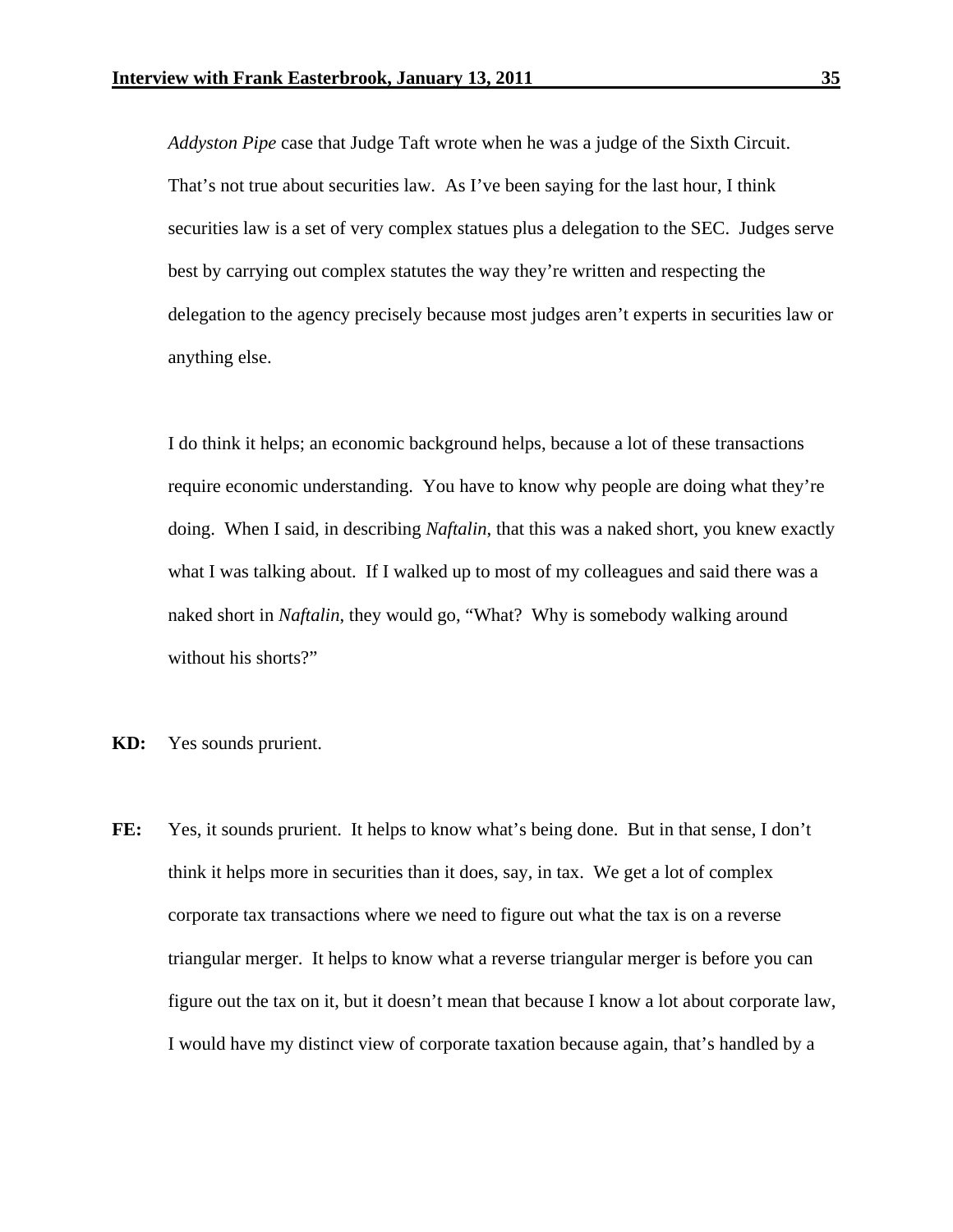*Addyston Pipe* case that Judge Taft wrote when he was a judge of the Sixth Circuit. That's not true about securities law. As I've been saying for the last hour, I think securities law is a set of very complex statues plus a delegation to the SEC. Judges serve best by carrying out complex statutes the way they're written and respecting the delegation to the agency precisely because most judges aren't experts in securities law or anything else.

 I do think it helps; an economic background helps, because a lot of these transactions require economic understanding. You have to know why people are doing what they're doing. When I said, in describing *Naftalin*, that this was a naked short, you knew exactly what I was talking about. If I walked up to most of my colleagues and said there was a naked short in *Naftalin*, they would go, "What? Why is somebody walking around without his shorts?"

- **KD:** Yes sounds prurient.
- **FE:** Yes, it sounds prurient. It helps to know what's being done. But in that sense, I don't think it helps more in securities than it does, say, in tax. We get a lot of complex corporate tax transactions where we need to figure out what the tax is on a reverse triangular merger. It helps to know what a reverse triangular merger is before you can figure out the tax on it, but it doesn't mean that because I know a lot about corporate law, I would have my distinct view of corporate taxation because again, that's handled by a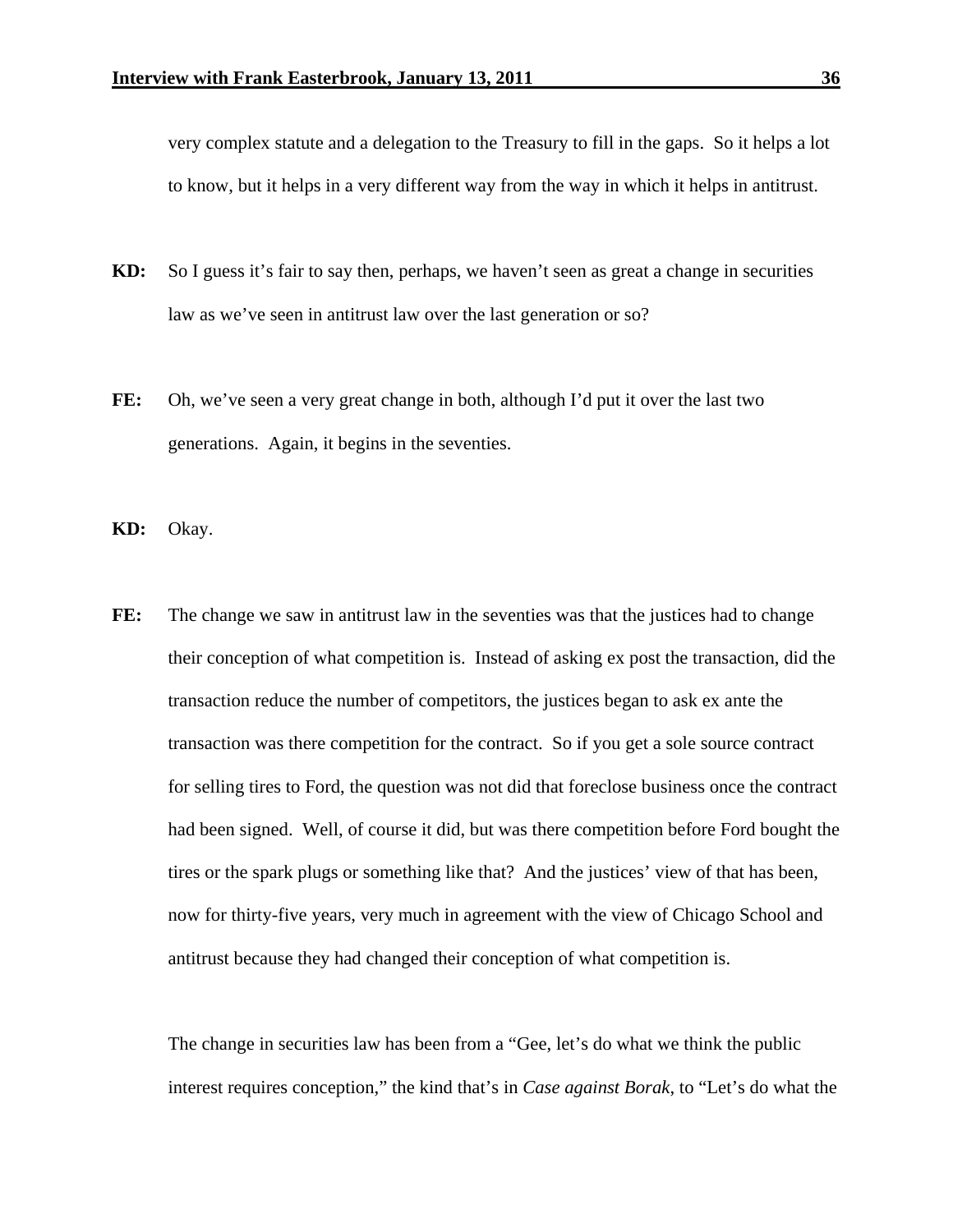very complex statute and a delegation to the Treasury to fill in the gaps. So it helps a lot to know, but it helps in a very different way from the way in which it helps in antitrust.

- **KD:** So I guess it's fair to say then, perhaps, we haven't seen as great a change in securities law as we've seen in antitrust law over the last generation or so?
- **FE:** Oh, we've seen a very great change in both, although I'd put it over the last two generations. Again, it begins in the seventies.
- **KD:** Okay.
- FE: The change we saw in antitrust law in the seventies was that the justices had to change their conception of what competition is. Instead of asking ex post the transaction, did the transaction reduce the number of competitors, the justices began to ask ex ante the transaction was there competition for the contract. So if you get a sole source contract for selling tires to Ford, the question was not did that foreclose business once the contract had been signed. Well, of course it did, but was there competition before Ford bought the tires or the spark plugs or something like that? And the justices' view of that has been, now for thirty-five years, very much in agreement with the view of Chicago School and antitrust because they had changed their conception of what competition is.

 The change in securities law has been from a "Gee, let's do what we think the public interest requires conception," the kind that's in *Case against Borak*, to "Let's do what the